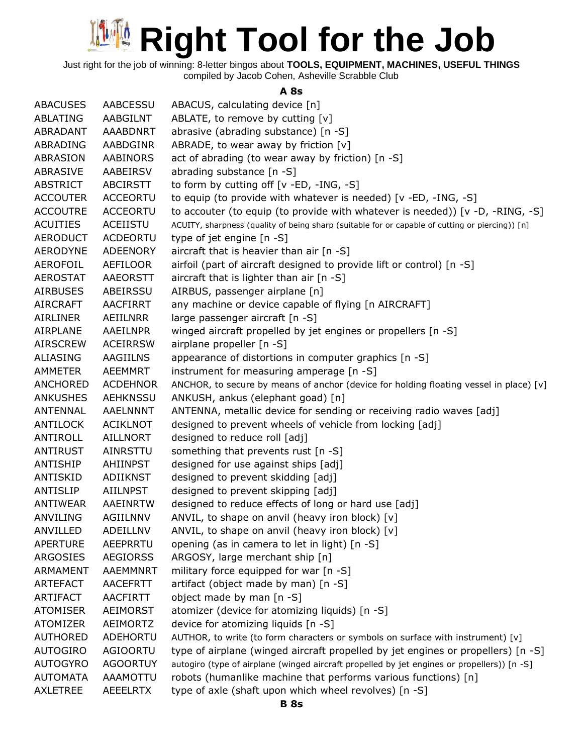Just right for the job of winning: 8-letter bingos about **TOOLS, EQUIPMENT, MACHINES, USEFUL THINGS** compiled by Jacob Cohen, Asheville Scrabble Club

**A 8s**

| <b>ABACUSES</b> | AABCESSU        | ABACUS, calculating device [n]                                                                  |
|-----------------|-----------------|-------------------------------------------------------------------------------------------------|
| ABLATING        | AABGILNT        | ABLATE, to remove by cutting [v]                                                                |
| ABRADANT        | <b>AAABDNRT</b> | abrasive (abrading substance) [n -S]                                                            |
| ABRADING        | <b>AABDGINR</b> | ABRADE, to wear away by friction $[v]$                                                          |
| ABRASION        | <b>AABINORS</b> | act of abrading (to wear away by friction) [n -S]                                               |
| ABRASIVE        | AABEIRSV        | abrading substance [n -S]                                                                       |
| <b>ABSTRICT</b> | <b>ABCIRSTT</b> | to form by cutting off [v -ED, -ING, -S]                                                        |
| <b>ACCOUTER</b> | <b>ACCEORTU</b> | to equip (to provide with whatever is needed) [v -ED, -ING, -S]                                 |
| <b>ACCOUTRE</b> | <b>ACCEORTU</b> | to accouter (to equip (to provide with whatever is needed)) [v -D, -RING, -S]                   |
| <b>ACUITIES</b> | ACEIISTU        | ACUITY, sharpness (quality of being sharp (suitable for or capable of cutting or piercing)) [n] |
| <b>AERODUCT</b> | <b>ACDEORTU</b> | type of jet engine [n -S]                                                                       |
| <b>AERODYNE</b> | <b>ADEENORY</b> | aircraft that is heavier than air [n -S]                                                        |
| AEROFOIL        | AEFILOOR        | airfoil (part of aircraft designed to provide lift or control) [n -S]                           |
| <b>AEROSTAT</b> | <b>AAEORSTT</b> | aircraft that is lighter than air $[n - S]$                                                     |
| <b>AIRBUSES</b> | ABEIRSSU        | AIRBUS, passenger airplane [n]                                                                  |
| <b>AIRCRAFT</b> | <b>AACFIRRT</b> | any machine or device capable of flying [n AIRCRAFT]                                            |
| <b>AIRLINER</b> | AEIILNRR        | large passenger aircraft [n -S]                                                                 |
| <b>AIRPLANE</b> | AAEILNPR        | winged aircraft propelled by jet engines or propellers [n -S]                                   |
| <b>AIRSCREW</b> | <b>ACEIRRSW</b> | airplane propeller [n -S]                                                                       |
| ALIASING        | AAGIILNS        |                                                                                                 |
| <b>AMMETER</b>  | <b>AEEMMRT</b>  | appearance of distortions in computer graphics [n -S]                                           |
|                 |                 | instrument for measuring amperage [n -S]                                                        |
| ANCHORED        | <b>ACDEHNOR</b> | ANCHOR, to secure by means of anchor (device for holding floating vessel in place) [v]          |
| <b>ANKUSHES</b> | <b>AEHKNSSU</b> | ANKUSH, ankus (elephant goad) [n]                                                               |
| <b>ANTENNAL</b> | <b>AAELNNNT</b> | ANTENNA, metallic device for sending or receiving radio waves [adj]                             |
| ANTILOCK        | <b>ACIKLNOT</b> | designed to prevent wheels of vehicle from locking [adj]                                        |
| ANTIROLL        | <b>AILLNORT</b> | designed to reduce roll [adj]                                                                   |
| <b>ANTIRUST</b> | AINRSTTU        | something that prevents rust [n -S]                                                             |
| ANTISHIP        | AHIINPST        | designed for use against ships [adj]                                                            |
| ANTISKID        | ADIIKNST        | designed to prevent skidding [adj]                                                              |
| ANTISLIP        | <b>AIILNPST</b> | designed to prevent skipping [adj]                                                              |
| ANTIWEAR        | AAEINRTW        | designed to reduce effects of long or hard use [adj]                                            |
| ANVILING        | <b>AGIILNNV</b> | ANVIL, to shape on anvil (heavy iron block) [v]                                                 |
| ANVILLED        | <b>ADEILLNV</b> | ANVIL, to shape on anvil (heavy iron block) [v]                                                 |
| <b>APERTURE</b> | AEEPRRTU        | opening (as in camera to let in light) [n -S]                                                   |
| ARGOSIES        | <b>AEGIORSS</b> | ARGOSY, large merchant ship [n]                                                                 |
| <b>ARMAMENT</b> | <b>AAEMMNRT</b> | military force equipped for war [n -S]                                                          |
| <b>ARTEFACT</b> | <b>AACEFRTT</b> | artifact (object made by man) [n -S]                                                            |
| ARTIFACT        | <b>AACFIRTT</b> | object made by man [n -S]                                                                       |
| <b>ATOMISER</b> | AEIMORST        | atomizer (device for atomizing liquids) [n -S]                                                  |
| <b>ATOMIZER</b> | AEIMORTZ        | device for atomizing liquids [n -S]                                                             |
| <b>AUTHORED</b> | ADEHORTU        | AUTHOR, to write (to form characters or symbols on surface with instrument) [v]                 |
| <b>AUTOGIRO</b> | AGIOORTU        | type of airplane (winged aircraft propelled by jet engines or propellers) [n -S]                |
| <b>AUTOGYRO</b> | <b>AGOORTUY</b> | autogiro (type of airplane (winged aircraft propelled by jet engines or propellers)) [n -S]     |
| <b>AUTOMATA</b> | AAAMOTTU        | robots (humanlike machine that performs various functions) [n]                                  |
| <b>AXLETREE</b> | <b>AEEELRTX</b> | type of axle (shaft upon which wheel revolves) [n -S]                                           |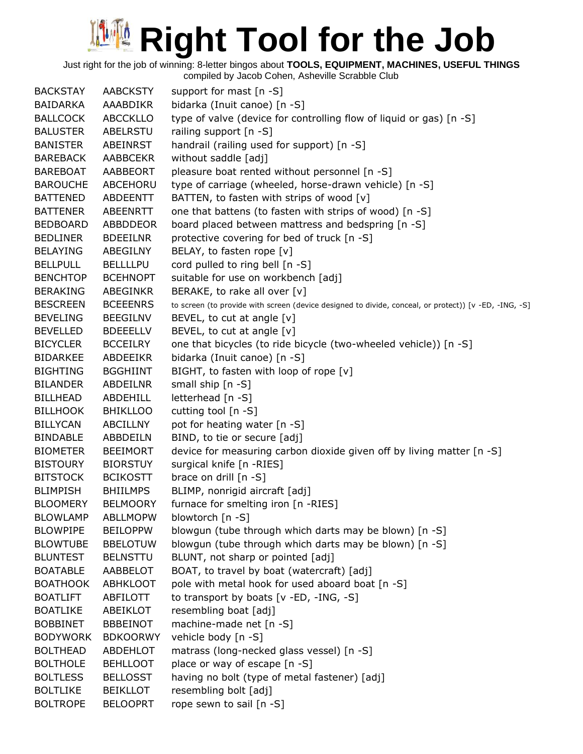Just right for the job of winning: 8-letter bingos about **TOOLS, EQUIPMENT, MACHINES, USEFUL THINGS**

| <b>BACKSTAY</b> | <b>AABCKSTY</b> | support for mast [n -S]                                                                               |
|-----------------|-----------------|-------------------------------------------------------------------------------------------------------|
| <b>BAIDARKA</b> | AAABDIKR        | bidarka (Inuit canoe) [n -S]                                                                          |
| <b>BALLCOCK</b> | <b>ABCCKLLO</b> | type of valve (device for controlling flow of liquid or gas) [n -S]                                   |
| <b>BALUSTER</b> | ABELRSTU        | railing support [n -S]                                                                                |
| <b>BANISTER</b> | ABEINRST        | handrail (railing used for support) [n -S]                                                            |
| <b>BAREBACK</b> | <b>AABBCEKR</b> | without saddle [adj]                                                                                  |
| <b>BAREBOAT</b> | AABBEORT        | pleasure boat rented without personnel [n -S]                                                         |
| <b>BAROUCHE</b> | ABCEHORU        | type of carriage (wheeled, horse-drawn vehicle) [n -S]                                                |
| <b>BATTENED</b> | ABDEENTT        | BATTEN, to fasten with strips of wood [v]                                                             |
| <b>BATTENER</b> | ABEENRTT        | one that battens (to fasten with strips of wood) [n -S]                                               |
| <b>BEDBOARD</b> | ABBDDEOR        | board placed between mattress and bedspring [n -S]                                                    |
| <b>BEDLINER</b> | <b>BDEEILNR</b> | protective covering for bed of truck [n -S]                                                           |
| <b>BELAYING</b> | ABEGILNY        | BELAY, to fasten rope [v]                                                                             |
| <b>BELLPULL</b> | <b>BELLLLPU</b> | cord pulled to ring bell [n -S]                                                                       |
| <b>BENCHTOP</b> | <b>BCEHNOPT</b> | suitable for use on workbench [adj]                                                                   |
| <b>BERAKING</b> | ABEGINKR        | BERAKE, to rake all over [v]                                                                          |
| <b>BESCREEN</b> | <b>BCEEENRS</b> | to screen (to provide with screen (device designed to divide, conceal, or protect)) [v -ED, -ING, -S] |
| <b>BEVELING</b> | <b>BEEGILNV</b> | BEVEL, to cut at angle $[v]$                                                                          |
| <b>BEVELLED</b> | <b>BDEEELLV</b> | BEVEL, to cut at angle [v]                                                                            |
| <b>BICYCLER</b> | <b>BCCEILRY</b> | one that bicycles (to ride bicycle (two-wheeled vehicle)) [n -S]                                      |
| <b>BIDARKEE</b> | ABDEEIKR        | bidarka (Inuit canoe) [n -S]                                                                          |
| <b>BIGHTING</b> | <b>BGGHIINT</b> | BIGHT, to fasten with loop of rope [v]                                                                |
| <b>BILANDER</b> | ABDEILNR        | small ship [n -S]                                                                                     |
| <b>BILLHEAD</b> | ABDEHILL        | letterhead [n -S]                                                                                     |
| <b>BILLHOOK</b> | <b>BHIKLLOO</b> | cutting tool [n -S]                                                                                   |
| <b>BILLYCAN</b> | ABCILLNY        | pot for heating water [n -S]                                                                          |
| <b>BINDABLE</b> | ABBDEILN        | BIND, to tie or secure [adj]                                                                          |
| <b>BIOMETER</b> | <b>BEEIMORT</b> | device for measuring carbon dioxide given off by living matter [n -S]                                 |
| <b>BISTOURY</b> | <b>BIORSTUY</b> | surgical knife [n -RIES]                                                                              |
| <b>BITSTOCK</b> | <b>BCIKOSTT</b> | brace on drill [n -S]                                                                                 |
| <b>BLIMPISH</b> | <b>BHIILMPS</b> | BLIMP, nonrigid aircraft [adj]                                                                        |
| <b>BLOOMERY</b> | <b>BELMOORY</b> | furnace for smelting iron [n -RIES]                                                                   |
| <b>BLOWLAMP</b> | <b>ABLLMOPW</b> | blowtorch [n -S]                                                                                      |
| <b>BLOWPIPE</b> | <b>BEILOPPW</b> | blowgun (tube through which darts may be blown) [n -S]                                                |
| <b>BLOWTUBE</b> | <b>BBELOTUW</b> | blowgun (tube through which darts may be blown) [n -S]                                                |
| <b>BLUNTEST</b> | <b>BELNSTTU</b> | BLUNT, not sharp or pointed [adj]                                                                     |
| <b>BOATABLE</b> | AABBELOT        | BOAT, to travel by boat (watercraft) [adj]                                                            |
| <b>BOATHOOK</b> | <b>ABHKLOOT</b> | pole with metal hook for used aboard boat [n -S]                                                      |
| <b>BOATLIFT</b> | ABFILOTT        | to transport by boats $[v - ED, -ING, -S]$                                                            |
| <b>BOATLIKE</b> | ABEIKLOT        | resembling boat [adj]                                                                                 |
| <b>BOBBINET</b> | <b>BBBEINOT</b> | machine-made net [n -S]                                                                               |
| <b>BODYWORK</b> | <b>BDKOORWY</b> | vehicle body [n -S]                                                                                   |
| <b>BOLTHEAD</b> | ABDEHLOT        | matrass (long-necked glass vessel) [n -S]                                                             |
| <b>BOLTHOLE</b> | <b>BEHLLOOT</b> | place or way of escape [n -S]                                                                         |
| <b>BOLTLESS</b> | <b>BELLOSST</b> | having no bolt (type of metal fastener) [adj]                                                         |
| <b>BOLTLIKE</b> | <b>BEIKLLOT</b> | resembling bolt [adj]                                                                                 |
| <b>BOLTROPE</b> | <b>BELOOPRT</b> | rope sewn to sail [n -S]                                                                              |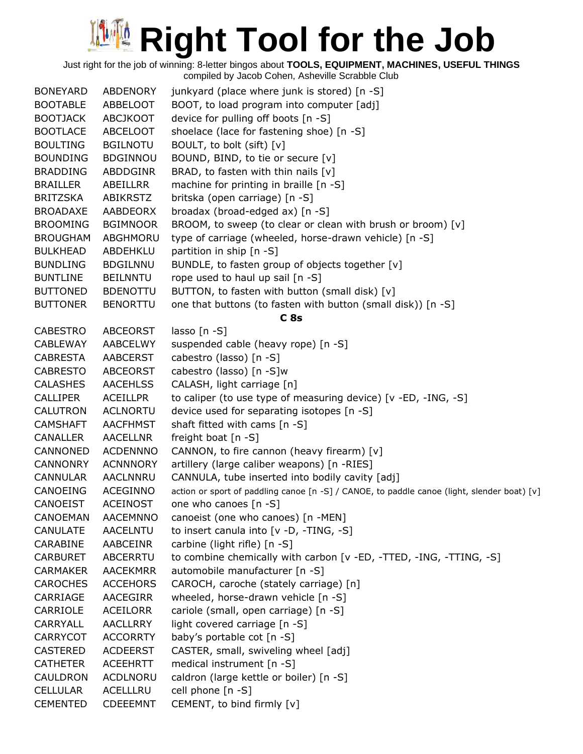Just right for the job of winning: 8-letter bingos about **TOOLS, EQUIPMENT, MACHINES, USEFUL THINGS**

| <b>BONEYARD</b> | ABDENORY        | junkyard (place where junk is stored) [n -S]                                                |
|-----------------|-----------------|---------------------------------------------------------------------------------------------|
| <b>BOOTABLE</b> | ABBELOOT        | BOOT, to load program into computer [adj]                                                   |
| <b>BOOTJACK</b> | <b>ABCJKOOT</b> | device for pulling off boots [n -S]                                                         |
| <b>BOOTLACE</b> | ABCELOOT        | shoelace (lace for fastening shoe) [n -S]                                                   |
| <b>BOULTING</b> | <b>BGILNOTU</b> | BOULT, to bolt (sift) [v]                                                                   |
| <b>BOUNDING</b> | <b>BDGINNOU</b> | BOUND, BIND, to tie or secure [v]                                                           |
| <b>BRADDING</b> | ABDDGINR        | BRAD, to fasten with thin nails $[v]$                                                       |
| <b>BRAILLER</b> | ABEILLRR        | machine for printing in braille [n -S]                                                      |
| <b>BRITZSKA</b> | ABIKRSTZ        | britska (open carriage) [n -S]                                                              |
| <b>BROADAXE</b> | AABDEORX        | broadax (broad-edged ax) [n -S]                                                             |
| <b>BROOMING</b> | <b>BGIMNOOR</b> | BROOM, to sweep (to clear or clean with brush or broom) [v]                                 |
| <b>BROUGHAM</b> | ABGHMORU        | type of carriage (wheeled, horse-drawn vehicle) [n -S]                                      |
| <b>BULKHEAD</b> | ABDEHKLU        | partition in ship [n -S]                                                                    |
| <b>BUNDLING</b> | <b>BDGILNNU</b> | BUNDLE, to fasten group of objects together [v]                                             |
| <b>BUNTLINE</b> | <b>BEILNNTU</b> | rope used to haul up sail [n -S]                                                            |
| <b>BUTTONED</b> | <b>BDENOTTU</b> | BUTTON, to fasten with button (small disk) [v]                                              |
| <b>BUTTONER</b> | <b>BENORTTU</b> | one that buttons (to fasten with button (small disk)) [n -S]                                |
|                 |                 | C8s                                                                                         |
| <b>CABESTRO</b> | ABCEORST        | lasso $[n - S]$                                                                             |
| <b>CABLEWAY</b> | AABCELWY        | suspended cable (heavy rope) [n -S]                                                         |
| <b>CABRESTA</b> | <b>AABCERST</b> | cabestro (lasso) [n -S]                                                                     |
| <b>CABRESTO</b> | ABCEORST        | cabestro (lasso) [n -S]w                                                                    |
| <b>CALASHES</b> | <b>AACEHLSS</b> | CALASH, light carriage [n]                                                                  |
| <b>CALLIPER</b> | <b>ACEILLPR</b> | to caliper (to use type of measuring device) [v -ED, -ING, -S]                              |
| <b>CALUTRON</b> | <b>ACLNORTU</b> | device used for separating isotopes [n -S]                                                  |
| <b>CAMSHAFT</b> | <b>AACFHMST</b> | shaft fitted with cams [n -S]                                                               |
| <b>CANALLER</b> | <b>AACELLNR</b> | freight boat $[n - S]$                                                                      |
| CANNONED        | <b>ACDENNNO</b> | CANNON, to fire cannon (heavy firearm) [v]                                                  |
| <b>CANNONRY</b> | <b>ACNNNORY</b> | artillery (large caliber weapons) [n -RIES]                                                 |
| <b>CANNULAR</b> | AACLNNRU        | CANNULA, tube inserted into bodily cavity [adj]                                             |
| CANOEING        | <b>ACEGINNO</b> | action or sport of paddling canoe [n -S] / CANOE, to paddle canoe (light, slender boat) [v] |
| <b>CANOEIST</b> | <b>ACEINOST</b> | one who canoes [n -S]                                                                       |
| <b>CANOEMAN</b> | <b>AACEMNNO</b> | canoeist (one who canoes) [n -MEN]                                                          |
| <b>CANULATE</b> | <b>AACELNTU</b> | to insert canula into [v -D, -TING, -S]                                                     |
| CARABINE        | AABCEINR        | carbine (light rifle) [n -S]                                                                |
| <b>CARBURET</b> | <b>ABCERRTU</b> | to combine chemically with carbon [v -ED, -TTED, -ING, -TTING, -S]                          |
| <b>CARMAKER</b> | <b>AACEKMRR</b> | automobile manufacturer [n -S]                                                              |
| <b>CAROCHES</b> | <b>ACCEHORS</b> | CAROCH, caroche (stately carriage) [n]                                                      |
| CARRIAGE        | <b>AACEGIRR</b> | wheeled, horse-drawn vehicle [n -S]                                                         |
| CARRIOLE        | <b>ACEILORR</b> | cariole (small, open carriage) [n -S]                                                       |
| CARRYALL        | <b>AACLLRRY</b> | light covered carriage [n -S]                                                               |
| <b>CARRYCOT</b> | <b>ACCORRTY</b> | baby's portable cot [n -S]                                                                  |
| <b>CASTERED</b> | <b>ACDEERST</b> | CASTER, small, swiveling wheel [adj]                                                        |
| <b>CATHETER</b> | <b>ACEEHRTT</b> | medical instrument [n -S]                                                                   |
| <b>CAULDRON</b> | ACDLNORU        | caldron (large kettle or boiler) [n -S]                                                     |
| <b>CELLULAR</b> | ACELLLRU        | cell phone [n -S]                                                                           |
| <b>CEMENTED</b> | <b>CDEEEMNT</b> | CEMENT, to bind firmly [v]                                                                  |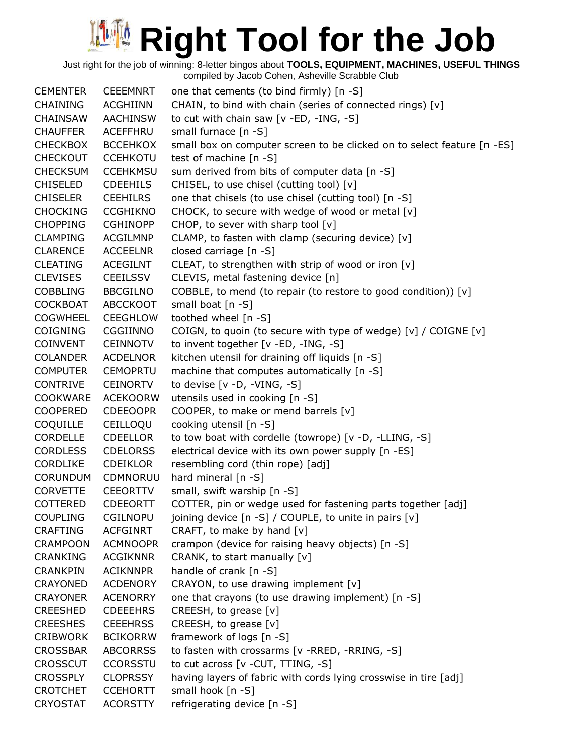Just right for the job of winning: 8-letter bingos about **TOOLS, EQUIPMENT, MACHINES, USEFUL THINGS**

| <b>CEMENTER</b> | <b>CEEEMNRT</b> | one that cements (to bind firmly) [n -S]                                |
|-----------------|-----------------|-------------------------------------------------------------------------|
| CHAINING        | <b>ACGHIINN</b> | CHAIN, to bind with chain (series of connected rings) [v]               |
| <b>CHAINSAW</b> | <b>AACHINSW</b> | to cut with chain saw [v -ED, -ING, -S]                                 |
| <b>CHAUFFER</b> | ACEFFHRU        | small furnace [n -S]                                                    |
| <b>CHECKBOX</b> | <b>BCCEHKOX</b> | small box on computer screen to be clicked on to select feature [n -ES] |
| <b>CHECKOUT</b> | <b>CCEHKOTU</b> | test of machine [n -S]                                                  |
| <b>CHECKSUM</b> | <b>CCEHKMSU</b> | sum derived from bits of computer data [n -S]                           |
| <b>CHISELED</b> | <b>CDEEHILS</b> | CHISEL, to use chisel (cutting tool) [v]                                |
| <b>CHISELER</b> | <b>CEEHILRS</b> | one that chisels (to use chisel (cutting tool) [n -S]                   |
| <b>CHOCKING</b> | <b>CCGHIKNO</b> | CHOCK, to secure with wedge of wood or metal [v]                        |
| <b>CHOPPING</b> | <b>CGHINOPP</b> | CHOP, to sever with sharp tool [v]                                      |
| <b>CLAMPING</b> | ACGILMNP        | CLAMP, to fasten with clamp (securing device) [v]                       |
| <b>CLARENCE</b> | <b>ACCEELNR</b> | closed carriage [n -S]                                                  |
| CLEATING        | ACEGILNT        | CLEAT, to strengthen with strip of wood or iron [v]                     |
| <b>CLEVISES</b> | <b>CEEILSSV</b> | CLEVIS, metal fastening device [n]                                      |
| <b>COBBLING</b> | <b>BBCGILNO</b> | COBBLE, to mend (to repair (to restore to good condition)) [v]          |
| <b>COCKBOAT</b> | <b>ABCCKOOT</b> | small boat [n -S]                                                       |
| <b>COGWHEEL</b> | <b>CEEGHLOW</b> | toothed wheel [n -S]                                                    |
| <b>COIGNING</b> | CGGIINNO        | COIGN, to quoin (to secure with type of wedge) [v] / COIGNE [v]         |
| COINVENT        | <b>CEINNOTV</b> | to invent together [v -ED, -ING, -S]                                    |
| <b>COLANDER</b> | <b>ACDELNOR</b> | kitchen utensil for draining off liquids [n -S]                         |
| <b>COMPUTER</b> | <b>CEMOPRTU</b> | machine that computes automatically [n -S]                              |
| <b>CONTRIVE</b> | <b>CEINORTV</b> | to devise $[v -D, -VING, -S]$                                           |
| <b>COOKWARE</b> | <b>ACEKOORW</b> | utensils used in cooking [n -S]                                         |
| <b>COOPERED</b> | <b>CDEEOOPR</b> | COOPER, to make or mend barrels [v]                                     |
| <b>COQUILLE</b> | CEILLOQU        | cooking utensil [n -S]                                                  |
| <b>CORDELLE</b> | <b>CDEELLOR</b> | to tow boat with cordelle (towrope) [v -D, -LLING, -S]                  |
| <b>CORDLESS</b> | <b>CDELORSS</b> | electrical device with its own power supply [n -ES]                     |
| <b>CORDLIKE</b> | <b>CDEIKLOR</b> | resembling cord (thin rope) [adj]                                       |
| <b>CORUNDUM</b> | CDMNORUU        | hard mineral [n -S]                                                     |
| <b>CORVETTE</b> | <b>CEEORTTV</b> | small, swift warship [n -S]                                             |
| <b>COTTERED</b> | <b>CDEEORTT</b> | COTTER, pin or wedge used for fastening parts together [adj]            |
| <b>COUPLING</b> | <b>CGILNOPU</b> | joining device [n -S] / COUPLE, to unite in pairs [v]                   |
| <b>CRAFTING</b> | <b>ACFGINRT</b> | CRAFT, to make by hand [v]                                              |
| <b>CRAMPOON</b> | <b>ACMNOOPR</b> | crampon (device for raising heavy objects) [n -S]                       |
| <b>CRANKING</b> | <b>ACGIKNNR</b> | CRANK, to start manually [v]                                            |
| <b>CRANKPIN</b> | <b>ACIKNNPR</b> | handle of crank [n -S]                                                  |
| <b>CRAYONED</b> | <b>ACDENORY</b> | CRAYON, to use drawing implement [v]                                    |
| <b>CRAYONER</b> | <b>ACENORRY</b> | one that crayons (to use drawing implement) [n -S]                      |
| <b>CREESHED</b> | <b>CDEEEHRS</b> | CREESH, to grease [v]                                                   |
| <b>CREESHES</b> | <b>CEEEHRSS</b> | CREESH, to grease [v]                                                   |
| <b>CRIBWORK</b> | <b>BCIKORRW</b> | framework of logs [n -S]                                                |
| <b>CROSSBAR</b> | <b>ABCORRSS</b> | to fasten with crossarms [v -RRED, -RRING, -S]                          |
| <b>CROSSCUT</b> | <b>CCORSSTU</b> | to cut across [v - CUT, TTING, -S]                                      |
| <b>CROSSPLY</b> | <b>CLOPRSSY</b> | having layers of fabric with cords lying crosswise in tire [adj]        |
| <b>CROTCHET</b> | <b>CCEHORTT</b> | small hook [n -S]                                                       |
| <b>CRYOSTAT</b> | <b>ACORSTTY</b> | refrigerating device [n -S]                                             |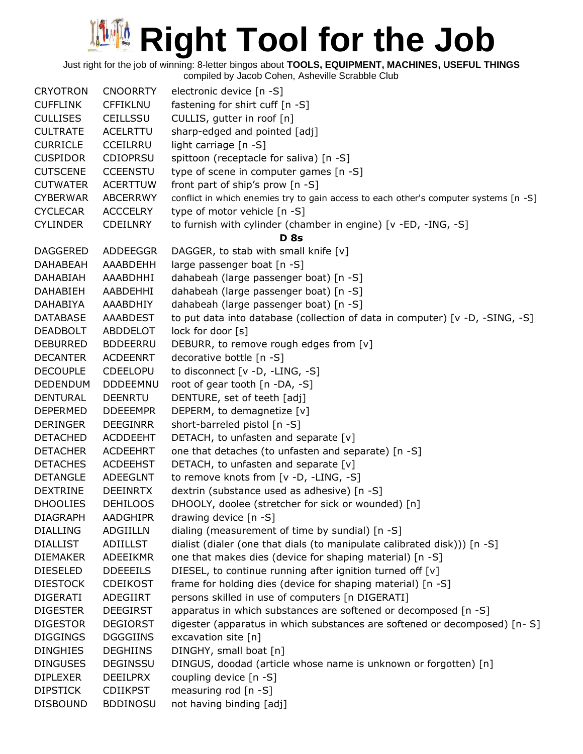Just right for the job of winning: 8-letter bingos about **TOOLS, EQUIPMENT, MACHINES, USEFUL THINGS**

| <b>CRYOTRON</b> | <b>CNOORRTY</b> | electronic device [n -S]                                                             |
|-----------------|-----------------|--------------------------------------------------------------------------------------|
| <b>CUFFLINK</b> | <b>CFFIKLNU</b> | fastening for shirt cuff [n -S]                                                      |
| <b>CULLISES</b> | CEILLSSU        | CULLIS, gutter in roof [n]                                                           |
| <b>CULTRATE</b> | ACELRTTU        | sharp-edged and pointed [adj]                                                        |
| <b>CURRICLE</b> | <b>CCEILRRU</b> | light carriage $[n -S]$                                                              |
| <b>CUSPIDOR</b> | <b>CDIOPRSU</b> | spittoon (receptacle for saliva) [n -S]                                              |
| <b>CUTSCENE</b> | <b>CCEENSTU</b> | type of scene in computer games [n -S]                                               |
| <b>CUTWATER</b> | <b>ACERTTUW</b> | front part of ship's prow [n -S]                                                     |
| <b>CYBERWAR</b> | ABCERRWY        | conflict in which enemies try to gain access to each other's computer systems [n -S] |
| <b>CYCLECAR</b> | <b>ACCCELRY</b> | type of motor vehicle [n -S]                                                         |
| <b>CYLINDER</b> | <b>CDEILNRY</b> | to furnish with cylinder (chamber in engine) [v -ED, -ING, -S]                       |
|                 |                 | <b>D</b> 8s                                                                          |
| <b>DAGGERED</b> | ADDEEGGR        | DAGGER, to stab with small knife [v]                                                 |
| <b>DAHABEAH</b> | AAABDEHH        | large passenger boat [n -S]                                                          |
| <b>DAHABIAH</b> | AAABDHHI        | dahabeah (large passenger boat) [n -S]                                               |
| <b>DAHABIEH</b> | AABDEHHI        | dahabeah (large passenger boat) [n -S]                                               |
| <b>DAHABIYA</b> | AAABDHIY        | dahabeah (large passenger boat) [n -S]                                               |
| <b>DATABASE</b> | AAABDEST        | to put data into database (collection of data in computer) [v -D, -SING, -S]         |
| <b>DEADBOLT</b> | ABDDELOT        | lock for door [s]                                                                    |
| <b>DEBURRED</b> | <b>BDDEERRU</b> | DEBURR, to remove rough edges from [v]                                               |
| <b>DECANTER</b> | <b>ACDEENRT</b> | decorative bottle [n -S]                                                             |
| <b>DECOUPLE</b> | <b>CDEELOPU</b> | to disconnect [v -D, -LING, -S]                                                      |
| <b>DEDENDUM</b> | <b>DDDEEMNU</b> | root of gear tooth [n -DA, -S]                                                       |
| <b>DENTURAL</b> | <b>DEENRTU</b>  | DENTURE, set of teeth [adj]                                                          |
| <b>DEPERMED</b> | <b>DDEEEMPR</b> | DEPERM, to demagnetize [v]                                                           |
| <b>DERINGER</b> | <b>DEEGINRR</b> | short-barreled pistol [n -S]                                                         |
| <b>DETACHED</b> | <b>ACDDEEHT</b> | DETACH, to unfasten and separate [v]                                                 |
| <b>DETACHER</b> | <b>ACDEEHRT</b> | one that detaches (to unfasten and separate) [n -S]                                  |
| <b>DETACHES</b> | <b>ACDEEHST</b> | DETACH, to unfasten and separate [v]                                                 |
| <b>DETANGLE</b> | <b>ADEEGLNT</b> | to remove knots from [v -D, -LING, -S]                                               |
| <b>DEXTRINE</b> | <b>DEEINRTX</b> | dextrin (substance used as adhesive) [n -S]                                          |
| <b>DHOOLIES</b> | <b>DEHILOOS</b> | DHOOLY, doolee (stretcher for sick or wounded) [n]                                   |
| <b>DIAGRAPH</b> | <b>AADGHIPR</b> | drawing device [n -S]                                                                |
| <b>DIALLING</b> | <b>ADGIILLN</b> | dialing (measurement of time by sundial) [n -S]                                      |
| <b>DIALLIST</b> | <b>ADIILLST</b> | dialist (dialer (one that dials (to manipulate calibrated disk))) [n -S]             |
| <b>DIEMAKER</b> | ADEEIKMR        | one that makes dies (device for shaping material) [n -S]                             |
| <b>DIESELED</b> | <b>DDEEEILS</b> | DIESEL, to continue running after ignition turned off [v]                            |
| <b>DIESTOCK</b> | <b>CDEIKOST</b> | frame for holding dies (device for shaping material) [n -S]                          |
| <b>DIGERATI</b> | <b>ADEGIIRT</b> | persons skilled in use of computers [n DIGERATI]                                     |
| <b>DIGESTER</b> | <b>DEEGIRST</b> | apparatus in which substances are softened or decomposed [n -S]                      |
| <b>DIGESTOR</b> | <b>DEGIORST</b> | digester (apparatus in which substances are softened or decomposed) [n- S]           |
| <b>DIGGINGS</b> | <b>DGGGIINS</b> | excavation site [n]                                                                  |
| <b>DINGHIES</b> | <b>DEGHIINS</b> | DINGHY, small boat [n]                                                               |
| <b>DINGUSES</b> | <b>DEGINSSU</b> | DINGUS, doodad (article whose name is unknown or forgotten) [n]                      |
| <b>DIPLEXER</b> | <b>DEEILPRX</b> | coupling device [n -S]                                                               |
| <b>DIPSTICK</b> | <b>CDIIKPST</b> | measuring rod [n -S]                                                                 |
| <b>DISBOUND</b> | <b>BDDINOSU</b> | not having binding [adj]                                                             |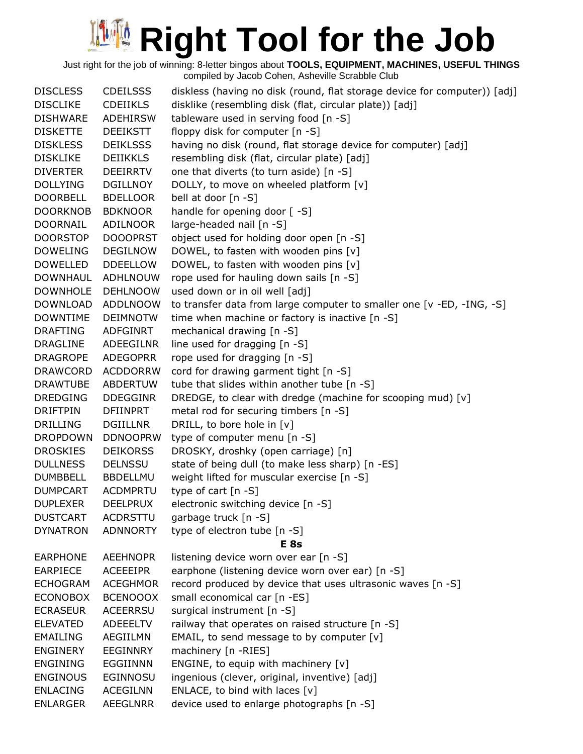Just right for the job of winning: 8-letter bingos about **TOOLS, EQUIPMENT, MACHINES, USEFUL THINGS**

| <b>DISCLESS</b> | <b>CDEILSSS</b> | diskless (having no disk (round, flat storage device for computer)) [adj] |
|-----------------|-----------------|---------------------------------------------------------------------------|
| <b>DISCLIKE</b> | <b>CDEIIKLS</b> | disklike (resembling disk (flat, circular plate)) [adj]                   |
| <b>DISHWARE</b> | <b>ADEHIRSW</b> | tableware used in serving food [n -S]                                     |
| <b>DISKETTE</b> | <b>DEEIKSTT</b> | floppy disk for computer [n -S]                                           |
| <b>DISKLESS</b> | <b>DEIKLSSS</b> | having no disk (round, flat storage device for computer) [adj]            |
| <b>DISKLIKE</b> | <b>DEIIKKLS</b> | resembling disk (flat, circular plate) [adj]                              |
| <b>DIVERTER</b> | <b>DEEIRRTV</b> | one that diverts (to turn aside) [n -S]                                   |
| <b>DOLLYING</b> | <b>DGILLNOY</b> | DOLLY, to move on wheeled platform [v]                                    |
| <b>DOORBELL</b> | <b>BDELLOOR</b> | bell at door [n -S]                                                       |
| <b>DOORKNOB</b> | <b>BDKNOOR</b>  | handle for opening door [-S]                                              |
| <b>DOORNAIL</b> | <b>ADILNOOR</b> | large-headed nail [n -S]                                                  |
| <b>DOORSTOP</b> | <b>DOOOPRST</b> | object used for holding door open [n -S]                                  |
| <b>DOWELING</b> | <b>DEGILNOW</b> | DOWEL, to fasten with wooden pins [v]                                     |
| <b>DOWELLED</b> | <b>DDEELLOW</b> | DOWEL, to fasten with wooden pins [v]                                     |
| <b>DOWNHAUL</b> | <b>ADHLNOUW</b> | rope used for hauling down sails [n -S]                                   |
| <b>DOWNHOLE</b> | <b>DEHLNOOW</b> | used down or in oil well [adj]                                            |
| <b>DOWNLOAD</b> | <b>ADDLNOOW</b> | to transfer data from large computer to smaller one [v -ED, -ING, -S]     |
| <b>DOWNTIME</b> | <b>DEIMNOTW</b> | time when machine or factory is inactive [n -S]                           |
| <b>DRAFTING</b> | ADFGINRT        | mechanical drawing [n -S]                                                 |
| <b>DRAGLINE</b> | ADEEGILNR       | line used for dragging [n -S]                                             |
| <b>DRAGROPE</b> | <b>ADEGOPRR</b> | rope used for dragging [n -S]                                             |
| <b>DRAWCORD</b> | <b>ACDDORRW</b> | cord for drawing garment tight [n -S]                                     |
| <b>DRAWTUBE</b> | ABDERTUW        | tube that slides within another tube [n -S]                               |
| <b>DREDGING</b> | <b>DDEGGINR</b> | DREDGE, to clear with dredge (machine for scooping mud) [v]               |
| <b>DRIFTPIN</b> | DFIINPRT        | metal rod for securing timbers [n -S]                                     |
| <b>DRILLING</b> | <b>DGIILLNR</b> | DRILL, to bore hole in [v]                                                |
| <b>DROPDOWN</b> | <b>DDNOOPRW</b> | type of computer menu [n -S]                                              |
| <b>DROSKIES</b> | <b>DEIKORSS</b> | DROSKY, droshky (open carriage) [n]                                       |
| <b>DULLNESS</b> | <b>DELNSSU</b>  | state of being dull (to make less sharp) [n -ES]                          |
| <b>DUMBBELL</b> | <b>BBDELLMU</b> | weight lifted for muscular exercise [n -S]                                |
| <b>DUMPCART</b> | <b>ACDMPRTU</b> | type of cart $[n - S]$                                                    |
| <b>DUPLEXER</b> | <b>DEELPRUX</b> | electronic switching device [n -S]                                        |
| <b>DUSTCART</b> | <b>ACDRSTTU</b> | garbage truck [n -S]                                                      |
| <b>DYNATRON</b> | <b>ADNNORTY</b> | type of electron tube [n -S]                                              |
|                 |                 | E <sub>8s</sub>                                                           |
| <b>EARPHONE</b> | <b>AEEHNOPR</b> | listening device worn over ear [n -S]                                     |
| <b>EARPIECE</b> | <b>ACEEEIPR</b> | earphone (listening device worn over ear) [n -S]                          |
| <b>ECHOGRAM</b> | <b>ACEGHMOR</b> | record produced by device that uses ultrasonic waves [n -S]               |
| <b>ECONOBOX</b> | <b>BCENOOOX</b> | small economical car [n -ES]                                              |
| <b>ECRASEUR</b> | <b>ACEERRSU</b> | surgical instrument [n -S]                                                |
| <b>ELEVATED</b> | <b>ADEEELTV</b> | railway that operates on raised structure [n -S]                          |
| <b>EMAILING</b> | AEGIILMN        | EMAIL, to send message to by computer $[v]$                               |
| ENGINERY        | <b>EEGINNRY</b> | machinery [n -RIES]                                                       |
| <b>ENGINING</b> | <b>EGGIINNN</b> | ENGINE, to equip with machinery [v]                                       |
| <b>ENGINOUS</b> | EGINNOSU        | ingenious (clever, original, inventive) [adj]                             |
| <b>ENLACING</b> | <b>ACEGILNN</b> | ENLACE, to bind with laces $[v]$                                          |
| <b>ENLARGER</b> | AEEGLNRR        | device used to enlarge photographs [n -S]                                 |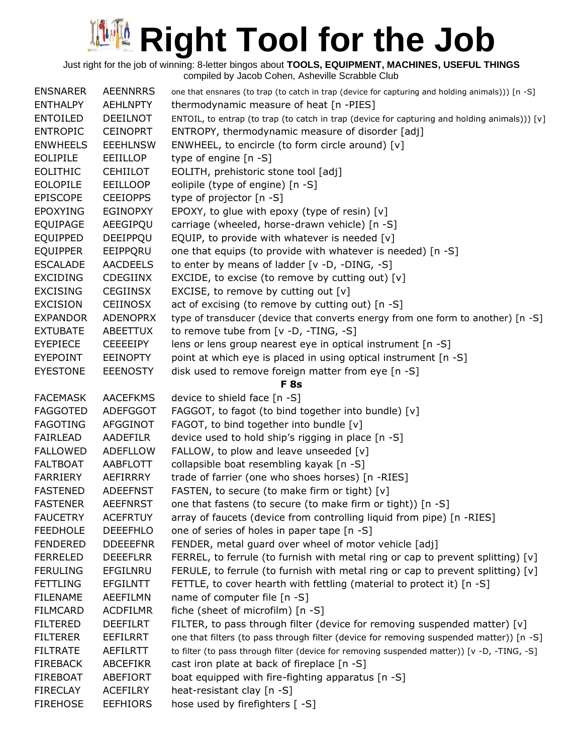Just right for the job of winning: 8-letter bingos about **TOOLS, EQUIPMENT, MACHINES, USEFUL THINGS**

| <b>ENSNARER</b> | <b>AEENNRRS</b> | one that ensnares (to trap (to catch in trap (device for capturing and holding animals))) [n -S] |
|-----------------|-----------------|--------------------------------------------------------------------------------------------------|
| <b>ENTHALPY</b> | <b>AEHLNPTY</b> | thermodynamic measure of heat [n -PIES]                                                          |
| <b>ENTOILED</b> | <b>DEEILNOT</b> | ENTOIL, to entrap (to trap (to catch in trap (device for capturing and holding animals))) [v]    |
| <b>ENTROPIC</b> | <b>CEINOPRT</b> | ENTROPY, thermodynamic measure of disorder [adj]                                                 |
| <b>ENWHEELS</b> | <b>EEEHLNSW</b> | ENWHEEL, to encircle (to form circle around) $[v]$                                               |
| <b>EOLIPILE</b> | EEIILLOP        | type of engine [n -S]                                                                            |
| <b>EOLITHIC</b> | <b>CEHIILOT</b> | EOLITH, prehistoric stone tool [adj]                                                             |
| <b>EOLOPILE</b> | <b>EEILLOOP</b> | eolipile (type of engine) [n -S]                                                                 |
| <b>EPISCOPE</b> | <b>CEEIOPPS</b> | type of projector [n -S]                                                                         |
| <b>EPOXYING</b> | <b>EGINOPXY</b> | EPOXY, to glue with epoxy (type of resin) [v]                                                    |
| <b>EQUIPAGE</b> | AEEGIPQU        | carriage (wheeled, horse-drawn vehicle) [n -S]                                                   |
| <b>EQUIPPED</b> | DEEIPPQU        | EQUIP, to provide with whatever is needed $[v]$                                                  |
| <b>EQUIPPER</b> | EEIPPQRU        | one that equips (to provide with whatever is needed) [n -S]                                      |
| <b>ESCALADE</b> | <b>AACDEELS</b> | to enter by means of ladder [v -D, -DING, -S]                                                    |
| <b>EXCIDING</b> | <b>CDEGIINX</b> | EXCIDE, to excise (to remove by cutting out) $[v]$                                               |
| <b>EXCISING</b> | <b>CEGIINSX</b> | EXCISE, to remove by cutting out $[v]$                                                           |
| <b>EXCISION</b> | <b>CEIINOSX</b> | act of excising (to remove by cutting out) [n -S]                                                |
| <b>EXPANDOR</b> | <b>ADENOPRX</b> | type of transducer (device that converts energy from one form to another) [n -S]                 |
| <b>EXTUBATE</b> | ABEETTUX        | to remove tube from $[v -D, -TING, -S]$                                                          |
| <b>EYEPIECE</b> | <b>CEEEEIPY</b> | lens or lens group nearest eye in optical instrument [n -S]                                      |
| <b>EYEPOINT</b> | <b>EEINOPTY</b> | point at which eye is placed in using optical instrument [n -S]                                  |
| <b>EYESTONE</b> | <b>EEENOSTY</b> | disk used to remove foreign matter from eye [n -S]                                               |
|                 |                 | F <sub>8s</sub>                                                                                  |
| <b>FACEMASK</b> | <b>AACEFKMS</b> | device to shield face [n -S]                                                                     |
| <b>FAGGOTED</b> | <b>ADEFGGOT</b> | FAGGOT, to fagot (to bind together into bundle) [v]                                              |
| <b>FAGOTING</b> | AFGGINOT        | FAGOT, to bind together into bundle [v]                                                          |
| <b>FAIRLEAD</b> | AADEFILR        | device used to hold ship's rigging in place [n -S]                                               |
| <b>FALLOWED</b> | <b>ADEFLLOW</b> | FALLOW, to plow and leave unseeded [v]                                                           |
| <b>FALTBOAT</b> | AABFLOTT        | collapsible boat resembling kayak [n -S]                                                         |
| <b>FARRIERY</b> | AEFIRRRY        | trade of farrier (one who shoes horses) [n -RIES]                                                |
| <b>FASTENED</b> | <b>ADEEFNST</b> | FASTEN, to secure (to make firm or tight) [v]                                                    |
| <b>FASTENER</b> | <b>AEEFNRST</b> | one that fastens (to secure (to make firm or tight)) [n -S]                                      |
| <b>FAUCETRY</b> | <b>ACEFRTUY</b> | array of faucets (device from controlling liquid from pipe) [n -RIES]                            |
| <b>FEEDHOLE</b> | <b>DEEEFHLO</b> | one of series of holes in paper tape [n -S]                                                      |
| <b>FENDERED</b> | <b>DDEEEFNR</b> | FENDER, metal guard over wheel of motor vehicle [adj]                                            |
| <b>FERRELED</b> | <b>DEEEFLRR</b> | FERREL, to ferrule (to furnish with metal ring or cap to prevent splitting) $[v]$                |
| <b>FERULING</b> | EFGILNRU        | FERULE, to ferrule (to furnish with metal ring or cap to prevent splitting) [v]                  |
| <b>FETTLING</b> | <b>EFGILNTT</b> | FETTLE, to cover hearth with fettling (material to protect it) [n -S]                            |
| <b>FILENAME</b> | AEEFILMN        | name of computer file [n -S]                                                                     |
| <b>FILMCARD</b> | <b>ACDFILMR</b> | fiche (sheet of microfilm) [n -S]                                                                |
| <b>FILTERED</b> | <b>DEEFILRT</b> | FILTER, to pass through filter (device for removing suspended matter) $[v]$                      |
| <b>FILTERER</b> | <b>EEFILRRT</b> | one that filters (to pass through filter (device for removing suspended matter)) [n -S]          |
| <b>FILTRATE</b> | AEFILRTT        | to filter (to pass through filter (device for removing suspended matter)) [v -D, -TING, -S]      |
| <b>FIREBACK</b> | ABCEFIKR        | cast iron plate at back of fireplace [n -S]                                                      |
| <b>FIREBOAT</b> | <b>ABEFIORT</b> | boat equipped with fire-fighting apparatus [n -S]                                                |
| <b>FIRECLAY</b> | <b>ACEFILRY</b> | heat-resistant clay [n -S]                                                                       |
| <b>FIREHOSE</b> | <b>EEFHIORS</b> | hose used by firefighters [-S]                                                                   |
|                 |                 |                                                                                                  |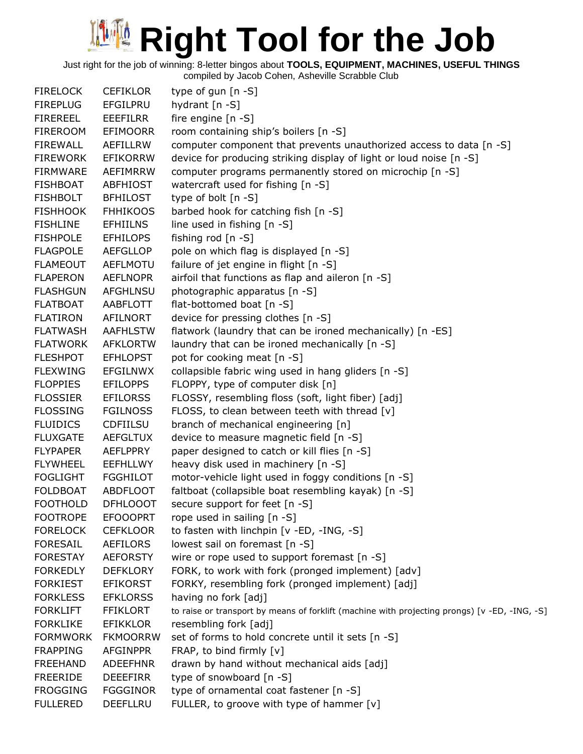Just right for the job of winning: 8-letter bingos about **TOOLS, EQUIPMENT, MACHINES, USEFUL THINGS**

| <b>FIRELOCK</b> | <b>CEFIKLOR</b> | type of gun $[n - S]$                                                                         |
|-----------------|-----------------|-----------------------------------------------------------------------------------------------|
| <b>FIREPLUG</b> | EFGILPRU        | hydrant $[n - S]$                                                                             |
| <b>FIREREEL</b> | <b>EEEFILRR</b> | fire engine $[n -S]$                                                                          |
| <b>FIREROOM</b> | EFIMOORR        | room containing ship's boilers [n -S]                                                         |
| <b>FIREWALL</b> | AEFILLRW        | computer component that prevents unauthorized access to data [n -S]                           |
| <b>FIREWORK</b> | <b>EFIKORRW</b> | device for producing striking display of light or loud noise [n -S]                           |
| <b>FIRMWARE</b> | AEFIMRRW        | computer programs permanently stored on microchip [n -S]                                      |
| <b>FISHBOAT</b> | <b>ABFHIOST</b> | watercraft used for fishing [n -S]                                                            |
| <b>FISHBOLT</b> | <b>BFHILOST</b> | type of bolt $[n - S]$                                                                        |
| <b>FISHHOOK</b> | <b>FHHIKOOS</b> | barbed hook for catching fish [n -S]                                                          |
| <b>FISHLINE</b> | <b>EFHIILNS</b> | line used in fishing [n -S]                                                                   |
| <b>FISHPOLE</b> | <b>EFHILOPS</b> | fishing rod [n -S]                                                                            |
| <b>FLAGPOLE</b> | <b>AEFGLLOP</b> | pole on which flag is displayed [n -S]                                                        |
| <b>FLAMEOUT</b> | <b>AEFLMOTU</b> | failure of jet engine in flight [n -S]                                                        |
| <b>FLAPERON</b> | <b>AEFLNOPR</b> | airfoil that functions as flap and aileron [n -S]                                             |
| <b>FLASHGUN</b> | <b>AFGHLNSU</b> | photographic apparatus [n -S]                                                                 |
| <b>FLATBOAT</b> | AABFLOTT        | flat-bottomed boat [n -S]                                                                     |
| <b>FLATIRON</b> | AFILNORT        | device for pressing clothes [n -S]                                                            |
| <b>FLATWASH</b> | <b>AAFHLSTW</b> | flatwork (laundry that can be ironed mechanically) [n -ES]                                    |
| <b>FLATWORK</b> | <b>AFKLORTW</b> | laundry that can be ironed mechanically [n -S]                                                |
| <b>FLESHPOT</b> | <b>EFHLOPST</b> | pot for cooking meat [n -S]                                                                   |
| <b>FLEXWING</b> | <b>EFGILNWX</b> | collapsible fabric wing used in hang gliders [n -S]                                           |
| <b>FLOPPIES</b> | <b>EFILOPPS</b> | FLOPPY, type of computer disk [n]                                                             |
| <b>FLOSSIER</b> | <b>EFILORSS</b> | FLOSSY, resembling floss (soft, light fiber) [adj]                                            |
| <b>FLOSSING</b> | <b>FGILNOSS</b> | FLOSS, to clean between teeth with thread [v]                                                 |
| <b>FLUIDICS</b> | <b>CDFIILSU</b> | branch of mechanical engineering [n]                                                          |
| <b>FLUXGATE</b> | <b>AEFGLTUX</b> | device to measure magnetic field [n -S]                                                       |
| <b>FLYPAPER</b> | <b>AEFLPPRY</b> | paper designed to catch or kill flies [n -S]                                                  |
| <b>FLYWHEEL</b> | <b>EEFHLLWY</b> | heavy disk used in machinery [n -S]                                                           |
| <b>FOGLIGHT</b> | <b>FGGHILOT</b> | motor-vehicle light used in foggy conditions [n -S]                                           |
| <b>FOLDBOAT</b> | ABDFLOOT        | faltboat (collapsible boat resembling kayak) [n -S]                                           |
| <b>FOOTHOLD</b> | <b>DFHLOOOT</b> | secure support for feet [n -S]                                                                |
| <b>FOOTROPE</b> | <b>EFOOOPRT</b> | rope used in sailing [n -S]                                                                   |
| <b>FORELOCK</b> | <b>CEFKLOOR</b> | to fasten with linchpin [v -ED, -ING, -S]                                                     |
| <b>FORESAIL</b> | AEFILORS        | lowest sail on foremast [n -S]                                                                |
| <b>FORESTAY</b> | <b>AEFORSTY</b> | wire or rope used to support foremast [n -S]                                                  |
| <b>FORKEDLY</b> | <b>DEFKLORY</b> | FORK, to work with fork (pronged implement) [adv]                                             |
| <b>FORKIEST</b> | <b>EFIKORST</b> | FORKY, resembling fork (pronged implement) [adj]                                              |
| <b>FORKLESS</b> | <b>EFKLORSS</b> | having no fork [adj]                                                                          |
| <b>FORKLIFT</b> | <b>FFIKLORT</b> | to raise or transport by means of forklift (machine with projecting prongs) [v -ED, -ING, -S] |
| <b>FORKLIKE</b> | <b>EFIKKLOR</b> | resembling fork [adj]                                                                         |
| <b>FORMWORK</b> | <b>FKMOORRW</b> | set of forms to hold concrete until it sets [n -S]                                            |
| <b>FRAPPING</b> | <b>AFGINPPR</b> | FRAP, to bind firmly [v]                                                                      |
| <b>FREEHAND</b> | <b>ADEEFHNR</b> | drawn by hand without mechanical aids [adj]                                                   |
| <b>FREERIDE</b> | <b>DEEEFIRR</b> | type of snowboard [n -S]                                                                      |
| <b>FROGGING</b> | <b>FGGGINOR</b> | type of ornamental coat fastener [n -S]                                                       |
| <b>FULLERED</b> | <b>DEEFLLRU</b> | FULLER, to groove with type of hammer [v]                                                     |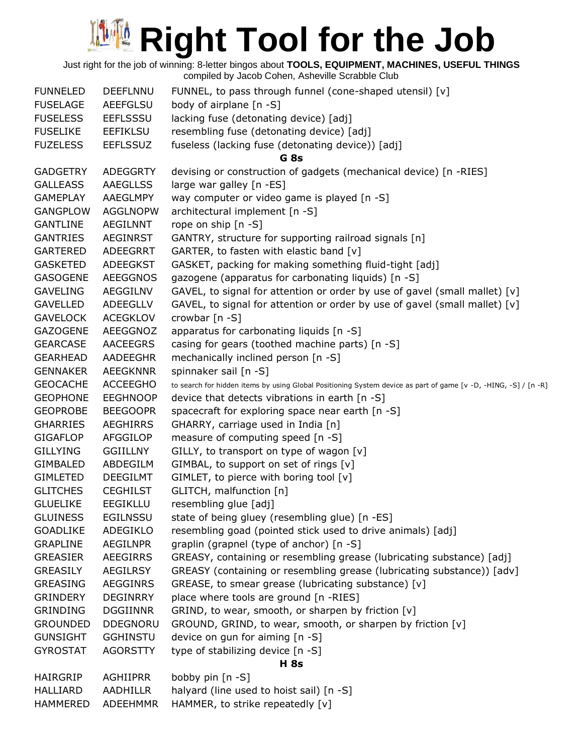Just right for the job of winning: 8-letter bingos about **TOOLS, EQUIPMENT, MACHINES, USEFUL THINGS** compiled by Jacob Cohen, Asheville Scrabble Club

| <b>FUNNELED</b> | <b>DEEFLNNU</b> | FUNNEL, to pass through funnel (cone-shaped utensil) [v]                                                        |  |  |
|-----------------|-----------------|-----------------------------------------------------------------------------------------------------------------|--|--|
| <b>FUSELAGE</b> | <b>AEEFGLSU</b> | body of airplane [n -S]                                                                                         |  |  |
| <b>FUSELESS</b> | <b>EEFLSSSU</b> | lacking fuse (detonating device) [adj]                                                                          |  |  |
| <b>FUSELIKE</b> | <b>EEFIKLSU</b> | resembling fuse (detonating device) [adj]                                                                       |  |  |
| <b>FUZELESS</b> | <b>EEFLSSUZ</b> | fuseless (lacking fuse (detonating device)) [adj]                                                               |  |  |
|                 |                 | G 8s                                                                                                            |  |  |
| <b>GADGETRY</b> | <b>ADEGGRTY</b> | devising or construction of gadgets (mechanical device) [n -RIES]                                               |  |  |
| <b>GALLEASS</b> | <b>AAEGLLSS</b> | large war galley [n -ES]                                                                                        |  |  |
| <b>GAMEPLAY</b> | AAEGLMPY        | way computer or video game is played [n -S]                                                                     |  |  |
| <b>GANGPLOW</b> | <b>AGGLNOPW</b> | architectural implement [n -S]                                                                                  |  |  |
| <b>GANTLINE</b> | AEGILNNT        | rope on ship [n -S]                                                                                             |  |  |
| <b>GANTRIES</b> | AEGINRST        | GANTRY, structure for supporting railroad signals [n]                                                           |  |  |
| <b>GARTERED</b> | <b>ADEEGRRT</b> | GARTER, to fasten with elastic band [v]                                                                         |  |  |
| <b>GASKETED</b> | ADEEGKST        | GASKET, packing for making something fluid-tight [adj]                                                          |  |  |
| <b>GASOGENE</b> | <b>AEEGGNOS</b> | gazogene (apparatus for carbonating liquids) [n -S]                                                             |  |  |
| <b>GAVELING</b> | AEGGILNV        | GAVEL, to signal for attention or order by use of gavel (small mallet) [v]                                      |  |  |
| <b>GAVELLED</b> | ADEEGLLV        | GAVEL, to signal for attention or order by use of gavel (small mallet) [v]                                      |  |  |
| <b>GAVELOCK</b> | <b>ACEGKLOV</b> | crowbar [n -S]                                                                                                  |  |  |
| GAZOGENE        | AEEGGNOZ        | apparatus for carbonating liquids [n -S]                                                                        |  |  |
| <b>GEARCASE</b> | AACEEGRS        | casing for gears (toothed machine parts) [n -S]                                                                 |  |  |
| <b>GEARHEAD</b> | <b>AADEEGHR</b> | mechanically inclined person [n -S]                                                                             |  |  |
| <b>GENNAKER</b> | <b>AEEGKNNR</b> | spinnaker sail [n -S]                                                                                           |  |  |
| <b>GEOCACHE</b> | <b>ACCEEGHO</b> | to search for hidden items by using Global Positioning System device as part of game [v -D, -HING, -S] / [n -R] |  |  |
| <b>GEOPHONE</b> | <b>EEGHNOOP</b> | device that detects vibrations in earth [n -S]                                                                  |  |  |
| <b>GEOPROBE</b> | <b>BEEGOOPR</b> | spacecraft for exploring space near earth [n -S]                                                                |  |  |
| <b>GHARRIES</b> | <b>AEGHIRRS</b> | GHARRY, carriage used in India [n]                                                                              |  |  |
| <b>GIGAFLOP</b> | AFGGILOP        | measure of computing speed [n -S]                                                                               |  |  |
| <b>GILLYING</b> | <b>GGIILLNY</b> | GILLY, to transport on type of wagon [v]                                                                        |  |  |
| <b>GIMBALED</b> | ABDEGILM        | GIMBAL, to support on set of rings [v]                                                                          |  |  |
| <b>GIMLETED</b> | <b>DEEGILMT</b> | GIMLET, to pierce with boring tool [v]                                                                          |  |  |
| <b>GLITCHES</b> | <b>CEGHILST</b> | GLITCH, malfunction [n]                                                                                         |  |  |
| <b>GLUELIKE</b> | <b>EEGIKLLU</b> | resembling glue [adj]                                                                                           |  |  |
| <b>GLUINESS</b> | <b>EGILNSSU</b> | state of being gluey (resembling glue) [n -ES]                                                                  |  |  |
| <b>GOADLIKE</b> | ADEGIKLO        | resembling goad (pointed stick used to drive animals) [adj]                                                     |  |  |
| <b>GRAPLINE</b> | <b>AEGILNPR</b> | graplin (grapnel (type of anchor) [n -S]                                                                        |  |  |
| <b>GREASIER</b> | <b>AEEGIRRS</b> | GREASY, containing or resembling grease (lubricating substance) [adj]                                           |  |  |
| <b>GREASILY</b> | <b>AEGILRSY</b> | GREASY (containing or resembling grease (lubricating substance)) [adv]                                          |  |  |
| <b>GREASING</b> | <b>AEGGINRS</b> | GREASE, to smear grease (lubricating substance) [v]                                                             |  |  |
| <b>GRINDERY</b> | <b>DEGINRRY</b> | place where tools are ground [n -RIES]                                                                          |  |  |
| <b>GRINDING</b> | <b>DGGIINNR</b> | GRIND, to wear, smooth, or sharpen by friction [v]                                                              |  |  |
| <b>GROUNDED</b> | <b>DDEGNORU</b> | GROUND, GRIND, to wear, smooth, or sharpen by friction [v]                                                      |  |  |
| <b>GUNSIGHT</b> | <b>GGHINSTU</b> | device on gun for aiming [n -S]                                                                                 |  |  |
| <b>GYROSTAT</b> | <b>AGORSTTY</b> | type of stabilizing device [n -S]                                                                               |  |  |
| <b>H</b> 8s     |                 |                                                                                                                 |  |  |
| <b>HAIRGRIP</b> | <b>AGHIIPRR</b> | bobby pin [n -S]                                                                                                |  |  |
| <b>HALLIARD</b> | <b>AADHILLR</b> | halyard (line used to hoist sail) [n -S]                                                                        |  |  |
| <b>HAMMERED</b> | <b>ADEEHMMR</b> | HAMMER, to strike repeatedly [v]                                                                                |  |  |
|                 |                 |                                                                                                                 |  |  |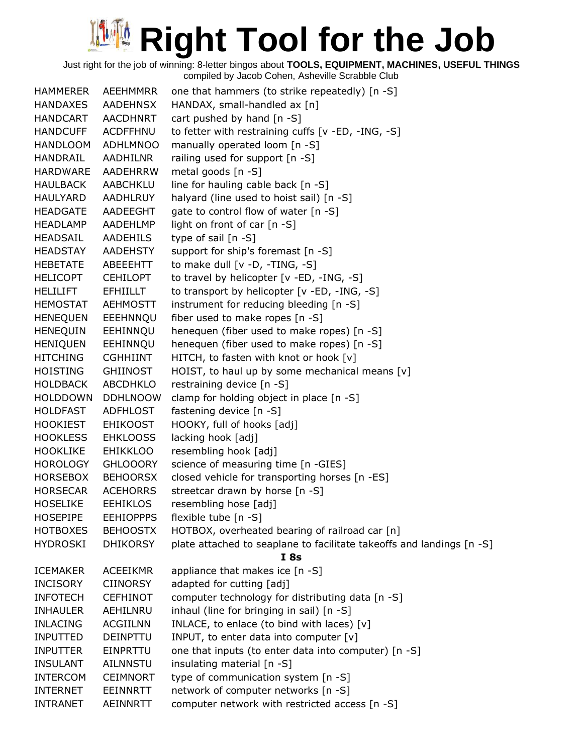Just right for the job of winning: 8-letter bingos about **TOOLS, EQUIPMENT, MACHINES, USEFUL THINGS**

| <b>HAMMERER</b> | AEEHMMRR         | one that hammers (to strike repeatedly) [n -S]                        |
|-----------------|------------------|-----------------------------------------------------------------------|
| <b>HANDAXES</b> | AADEHNSX         | HANDAX, small-handled ax [n]                                          |
| <b>HANDCART</b> | AACDHNRT         | cart pushed by hand [n -S]                                            |
| <b>HANDCUFF</b> | <b>ACDFFHNU</b>  | to fetter with restraining cuffs [v -ED, -ING, -S]                    |
| <b>HANDLOOM</b> | <b>ADHLMNOO</b>  | manually operated loom [n -S]                                         |
| HANDRAIL        | AADHILNR         | railing used for support [n -S]                                       |
| <b>HARDWARE</b> | <b>AADEHRRW</b>  | metal goods [n -S]                                                    |
| <b>HAULBACK</b> | AABCHKLU         | line for hauling cable back [n -S]                                    |
| HAULYARD        | AADHLRUY         | halyard (line used to hoist sail) [n -S]                              |
| <b>HEADGATE</b> | AADEEGHT         | gate to control flow of water [n -S]                                  |
| <b>HEADLAMP</b> | AADEHLMP         | light on front of car [n -S]                                          |
| HEADSAIL        | AADEHILS         | type of sail $[n - S]$                                                |
| <b>HEADSTAY</b> | <b>AADEHSTY</b>  | support for ship's foremast [n -S]                                    |
| <b>HEBETATE</b> | ABEEEHTT         | to make dull [v -D, -TING, -S]                                        |
| <b>HELICOPT</b> | <b>CEHILOPT</b>  | to travel by helicopter [v -ED, -ING, -S]                             |
| <b>HELILIFT</b> | <b>EFHIILLT</b>  | to transport by helicopter [v -ED, -ING, -S]                          |
| <b>HEMOSTAT</b> | <b>AEHMOSTT</b>  | instrument for reducing bleeding [n -S]                               |
| <b>HENEQUEN</b> | EEEHNNQU         | fiber used to make ropes [n -S]                                       |
| <b>HENEQUIN</b> | EEHINNQU         | henequen (fiber used to make ropes) [n -S]                            |
| <b>HENIQUEN</b> | EEHINNQU         | henequen (fiber used to make ropes) [n -S]                            |
| <b>HITCHING</b> | <b>CGHHIINT</b>  | HITCH, to fasten with knot or hook [v]                                |
| HOISTING        | <b>GHIINOST</b>  | HOIST, to haul up by some mechanical means [v]                        |
| <b>HOLDBACK</b> | <b>ABCDHKLO</b>  | restraining device [n -S]                                             |
| <b>HOLDDOWN</b> | <b>DDHLNOOW</b>  | clamp for holding object in place [n -S]                              |
| <b>HOLDFAST</b> | <b>ADFHLOST</b>  | fastening device [n -S]                                               |
| <b>HOOKIEST</b> | <b>EHIKOOST</b>  | HOOKY, full of hooks [adj]                                            |
| <b>HOOKLESS</b> | <b>EHKLOOSS</b>  | lacking hook [adj]                                                    |
| <b>HOOKLIKE</b> | <b>EHIKKLOO</b>  | resembling hook [adj]                                                 |
| <b>HOROLOGY</b> | <b>GHLOOORY</b>  | science of measuring time [n -GIES]                                   |
| <b>HORSEBOX</b> | <b>BEHOORSX</b>  | closed vehicle for transporting horses [n -ES]                        |
| <b>HORSECAR</b> | <b>ACEHORRS</b>  | streetcar drawn by horse [n -S]                                       |
| <b>HOSELIKE</b> | <b>EEHIKLOS</b>  | resembling hose [adj]                                                 |
| <b>HOSEPIPE</b> | <b>EEHIOPPPS</b> | flexible tube [n -S]                                                  |
| <b>HOTBOXES</b> | <b>BEHOOSTX</b>  | HOTBOX, overheated bearing of railroad car [n]                        |
| <b>HYDROSKI</b> | <b>DHIKORSY</b>  | plate attached to seaplane to facilitate takeoffs and landings [n -S] |
|                 |                  | I 8s                                                                  |
| <b>ICEMAKER</b> | <b>ACEEIKMR</b>  | appliance that makes ice [n -S]                                       |
| <b>INCISORY</b> | <b>CIINORSY</b>  | adapted for cutting [adj]                                             |
| <b>INFOTECH</b> | <b>CEFHINOT</b>  | computer technology for distributing data [n -S]                      |
| <b>INHAULER</b> | AEHILNRU         | inhaul (line for bringing in sail) [n -S]                             |
| <b>INLACING</b> | <b>ACGIILNN</b>  | INLACE, to enlace (to bind with laces) [v]                            |
| <b>INPUTTED</b> | <b>DEINPTTU</b>  | INPUT, to enter data into computer [v]                                |
| <b>INPUTTER</b> | EINPRTTU         | one that inputs (to enter data into computer) [n -S]                  |
| <b>INSULANT</b> | <b>AILNNSTU</b>  | insulating material [n -S]                                            |
| <b>INTERCOM</b> | <b>CEIMNORT</b>  | type of communication system [n -S]                                   |
| <b>INTERNET</b> | EEINNRTT         | network of computer networks [n -S]                                   |
| <b>INTRANET</b> | AEINNRTT         | computer network with restricted access [n -S]                        |
|                 |                  |                                                                       |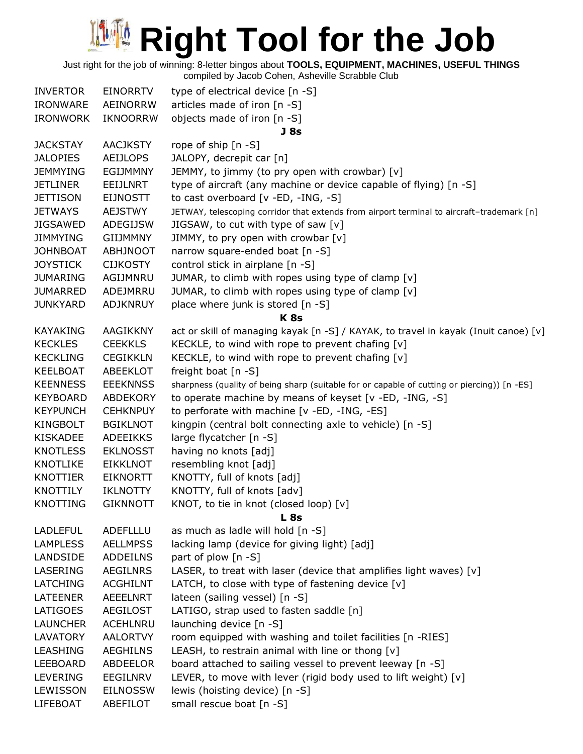Just right for the job of winning: 8-letter bingos about **TOOLS, EQUIPMENT, MACHINES, USEFUL THINGS**

| <b>INVERTOR</b> | <b>EINORRTV</b> | type of electrical device [n -S]                                                            |
|-----------------|-----------------|---------------------------------------------------------------------------------------------|
| <b>IRONWARE</b> | AEINORRW        | articles made of iron [n -S]                                                                |
| <b>IRONWORK</b> | <b>IKNOORRW</b> | objects made of iron [n -S]                                                                 |
|                 |                 | J 8s                                                                                        |
| <b>JACKSTAY</b> | <b>AACJKSTY</b> | rope of ship $[n - S]$                                                                      |
| <b>JALOPIES</b> | <b>AEIJLOPS</b> | JALOPY, decrepit car [n]                                                                    |
| <b>JEMMYING</b> | <b>EGIJMMNY</b> | JEMMY, to jimmy (to pry open with crowbar) [v]                                              |
| <b>JETLINER</b> | EEIJLNRT        | type of aircraft (any machine or device capable of flying) [n -S]                           |
| <b>JETTISON</b> | <b>EIJNOSTT</b> | to cast overboard [v -ED, -ING, -S]                                                         |
| <b>JETWAYS</b>  | <b>AEJSTWY</b>  | JETWAY, telescoping corridor that extends from airport terminal to aircraft-trademark [n]   |
| <b>JIGSAWED</b> | <b>ADEGIJSW</b> | JIGSAW, to cut with type of saw [v]                                                         |
| <b>JIMMYING</b> | <b>GIIJMMNY</b> | JIMMY, to pry open with crowbar [v]                                                         |
| <b>JOHNBOAT</b> | <b>ABHJNOOT</b> | narrow square-ended boat [n -S]                                                             |
| <b>JOYSTICK</b> | <b>CIJKOSTY</b> | control stick in airplane [n -S]                                                            |
| <b>JUMARING</b> | AGIJMNRU        | JUMAR, to climb with ropes using type of clamp [v]                                          |
| <b>JUMARRED</b> | ADEJMRRU        | JUMAR, to climb with ropes using type of clamp [v]                                          |
| <b>JUNKYARD</b> | <b>ADJKNRUY</b> | place where junk is stored [n -S]                                                           |
|                 |                 | <b>K8s</b>                                                                                  |
| <b>KAYAKING</b> | AAGIKKNY        | act or skill of managing kayak [n -S] / KAYAK, to travel in kayak (Inuit canoe) [v]         |
| <b>KECKLES</b>  | <b>CEEKKLS</b>  | KECKLE, to wind with rope to prevent chafing [v]                                            |
| <b>KECKLING</b> | <b>CEGIKKLN</b> | KECKLE, to wind with rope to prevent chafing [v]                                            |
| <b>KEELBOAT</b> | <b>ABEEKLOT</b> | freight boat [n -S]                                                                         |
| <b>KEENNESS</b> | <b>EEEKNNSS</b> | sharpness (quality of being sharp (suitable for or capable of cutting or piercing)) [n -ES] |
| <b>KEYBOARD</b> | <b>ABDEKORY</b> | to operate machine by means of keyset [v -ED, -ING, -S]                                     |
| <b>KEYPUNCH</b> | <b>CEHKNPUY</b> | to perforate with machine [v -ED, -ING, -ES]                                                |
| KINGBOLT        | <b>BGIKLNOT</b> | kingpin (central bolt connecting axle to vehicle) [n -S]                                    |
| <b>KISKADEE</b> | <b>ADEEIKKS</b> | large flycatcher [n -S]                                                                     |
| <b>KNOTLESS</b> | <b>EKLNOSST</b> | having no knots [adj]                                                                       |
| <b>KNOTLIKE</b> | <b>EIKKLNOT</b> | resembling knot [adj]                                                                       |
| KNOTTIER        | <b>EIKNORTT</b> | KNOTTY, full of knots [adj]                                                                 |
| <b>KNOTTILY</b> | <b>IKLNOTTY</b> | KNOTTY, full of knots [adv]                                                                 |
| <b>KNOTTING</b> | <b>GIKNNOTT</b> | KNOT, to tie in knot (closed loop) [v]                                                      |
|                 |                 | L <sub>8s</sub>                                                                             |
| <b>LADLEFUL</b> | ADEFLLLU        | as much as ladle will hold [n -S]                                                           |
| <b>LAMPLESS</b> | <b>AELLMPSS</b> | lacking lamp (device for giving light) [adj]                                                |
| LANDSIDE        | ADDEILNS        | part of plow [n -S]                                                                         |
| LASERING        | <b>AEGILNRS</b> | LASER, to treat with laser (device that amplifies light waves) $[v]$                        |
| <b>LATCHING</b> | <b>ACGHILNT</b> | LATCH, to close with type of fastening device $[v]$                                         |
| <b>LATEENER</b> | <b>AEEELNRT</b> | lateen (sailing vessel) [n -S]                                                              |
| <b>LATIGOES</b> | <b>AEGILOST</b> | LATIGO, strap used to fasten saddle [n]                                                     |
| <b>LAUNCHER</b> | ACEHLNRU        | launching device [n -S]                                                                     |
| LAVATORY        | <b>AALORTVY</b> | room equipped with washing and toilet facilities [n -RIES]                                  |
| <b>LEASHING</b> | <b>AEGHILNS</b> | LEASH, to restrain animal with line or thong $[v]$                                          |
| LEEBOARD        | ABDEELOR        | board attached to sailing vessel to prevent leeway [n -S]                                   |
| <b>LEVERING</b> | EEGILNRV        | LEVER, to move with lever (rigid body used to lift weight) [v]                              |
| LEWISSON        | <b>EILNOSSW</b> | lewis (hoisting device) [n -S]                                                              |
| LIFEBOAT        | ABEFILOT        | small rescue boat [n -S]                                                                    |
|                 |                 |                                                                                             |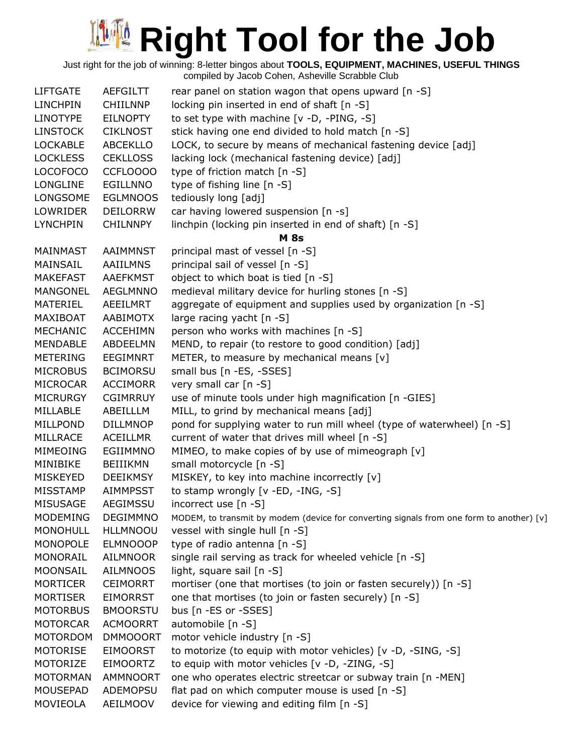Just right for the job of winning: 8-letter bingos about **TOOLS, EQUIPMENT, MACHINES, USEFUL THINGS**

| <b>LIFTGATE</b>             | <b>AEFGILTT</b>             | rear panel on station wagon that opens upward [n -S]                                                                     |
|-----------------------------|-----------------------------|--------------------------------------------------------------------------------------------------------------------------|
| <b>LINCHPIN</b>             | <b>CHIILNNP</b>             | locking pin inserted in end of shaft [n -S]                                                                              |
| <b>LINOTYPE</b>             | <b>EILNOPTY</b>             | to set type with machine [v -D, -PING, -S]                                                                               |
| <b>LINSTOCK</b>             | <b>CIKLNOST</b>             | stick having one end divided to hold match [n -S]                                                                        |
| <b>LOCKABLE</b>             | <b>ABCEKLLO</b>             | LOCK, to secure by means of mechanical fastening device [adj]                                                            |
| <b>LOCKLESS</b>             | <b>CEKLLOSS</b>             | lacking lock (mechanical fastening device) [adj]                                                                         |
| <b>LOCOFOCO</b>             | CCFLOOOO                    | type of friction match [n -S]                                                                                            |
| <b>LONGLINE</b>             | EGILLNNO                    | type of fishing line [n -S]                                                                                              |
| LONGSOME                    | <b>EGLMNOOS</b>             | tediously long [adj]                                                                                                     |
| LOWRIDER                    | <b>DEILORRW</b>             | car having lowered suspension [n -s]                                                                                     |
| <b>LYNCHPIN</b>             | <b>CHILNNPY</b>             | linchpin (locking pin inserted in end of shaft) [n -S]                                                                   |
|                             |                             | <b>M</b> 8s                                                                                                              |
| MAINMAST                    | AAIMMNST                    | principal mast of vessel [n -S]                                                                                          |
| MAINSAIL                    | <b>AAIILMNS</b>             | principal sail of vessel [n -S]                                                                                          |
| <b>MAKEFAST</b>             | <b>AAEFKMST</b>             | object to which boat is tied [n -S]                                                                                      |
| MANGONEL                    | <b>AEGLMNNO</b>             | medieval military device for hurling stones [n -S]                                                                       |
| MATERIEL                    | AEEILMRT                    | aggregate of equipment and supplies used by organization [n -S]                                                          |
| MAXIBOAT                    | AABIMOTX                    | large racing yacht [n -S]                                                                                                |
| MECHANIC                    | <b>ACCEHIMN</b>             | person who works with machines [n -S]                                                                                    |
| <b>MENDABLE</b>             | ABDEELMN                    | MEND, to repair (to restore to good condition) [adj]                                                                     |
| <b>METERING</b>             | <b>EEGIMNRT</b>             | METER, to measure by mechanical means [v]                                                                                |
| <b>MICROBUS</b>             | <b>BCIMORSU</b>             | small bus [n -ES, -SSES]                                                                                                 |
| MICROCAR                    | <b>ACCIMORR</b>             | very small car [n -S]                                                                                                    |
| <b>MICRURGY</b>             | <b>CGIMRRUY</b>             | use of minute tools under high magnification [n -GIES]                                                                   |
| MILLABLE                    | ABEILLLM                    | MILL, to grind by mechanical means [adj]                                                                                 |
| MILLPOND                    | <b>DILLMNOP</b>             | pond for supplying water to run mill wheel (type of waterwheel) [n -S]<br>current of water that drives mill wheel [n -S] |
| MILLRACE<br><b>MIMEOING</b> | <b>ACEILLMR</b><br>EGIIMMNO | MIMEO, to make copies of by use of mimeograph [v]                                                                        |
| MINIBIKE                    | <b>BEIIIKMN</b>             | small motorcycle [n -S]                                                                                                  |
| <b>MISKEYED</b>             | <b>DEEIKMSY</b>             | MISKEY, to key into machine incorrectly [v]                                                                              |
| <b>MISSTAMP</b>             | <b>AIMMPSST</b>             | to stamp wrongly [v -ED, -ING, -S]                                                                                       |
| <b>MISUSAGE</b>             | <b>AEGIMSSU</b>             | incorrect use $[n - S]$                                                                                                  |
| <b>MODEMING</b>             | <b>DEGIMMNO</b>             | MODEM, to transmit by modem (device for converting signals from one form to another) [v]                                 |
| <b>MONOHULL</b>             | <b>HLLMNOOU</b>             | vessel with single hull [n -S]                                                                                           |
| MONOPOLE                    | <b>ELMNOOOP</b>             | type of radio antenna [n -S]                                                                                             |
| MONORAIL                    | AILMNOOR                    | single rail serving as track for wheeled vehicle [n -S]                                                                  |
| MOONSAIL                    | <b>AILMNOOS</b>             | light, square sail [n -S]                                                                                                |
| <b>MORTICER</b>             | <b>CEIMORRT</b>             | mortiser (one that mortises (to join or fasten securely)) [n -S]                                                         |
| <b>MORTISER</b>             | <b>EIMORRST</b>             | one that mortises (to join or fasten securely) [n -S]                                                                    |
| <b>MOTORBUS</b>             | <b>BMOORSTU</b>             | bus [n -ES or -SSES]                                                                                                     |
| <b>MOTORCAR</b>             | <b>ACMOORRT</b>             | automobile [n -S]                                                                                                        |
| <b>MOTORDOM</b>             | <b>DMMOOORT</b>             | motor vehicle industry [n -S]                                                                                            |
| <b>MOTORISE</b>             | <b>EIMOORST</b>             | to motorize (to equip with motor vehicles) [v -D, -SING, -S]                                                             |
| MOTORIZE                    | <b>EIMOORTZ</b>             | to equip with motor vehicles [v -D, -ZING, -S]                                                                           |
| <b>MOTORMAN</b>             | AMMNOORT                    | one who operates electric streetcar or subway train [n -MEN]                                                             |
| MOUSEPAD                    | ADEMOPSU                    | flat pad on which computer mouse is used [n -S]                                                                          |
| MOVIEOLA                    | AEILMOOV                    | device for viewing and editing film [n -S]                                                                               |
|                             |                             |                                                                                                                          |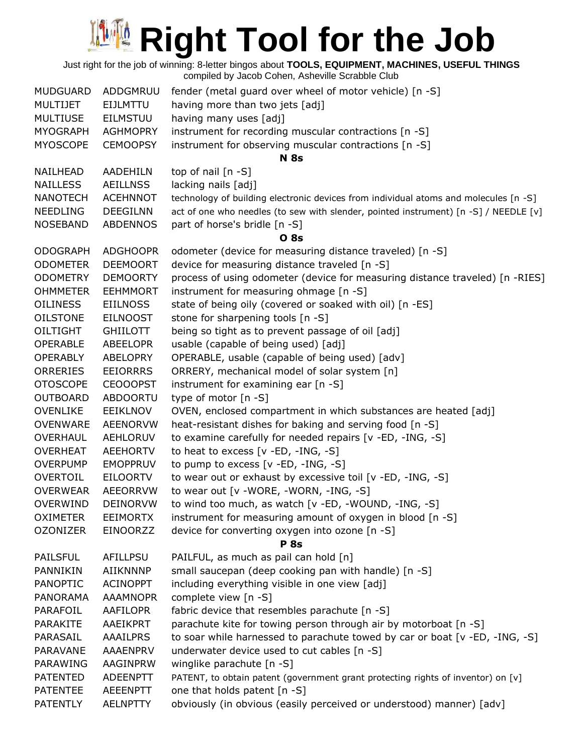Just right for the job of winning: 8-letter bingos about **TOOLS, EQUIPMENT, MACHINES, USEFUL THINGS** compiled by Jacob Cohen, Asheville Scrabble Club

| <b>MUDGUARD</b><br><b>MULTIJET</b><br><b>MULTIUSE</b><br><b>MYOGRAPH</b> | ADDGMRUU<br>EIJLMTTU<br><b>EILMSTUU</b><br><b>AGHMOPRY</b> | fender (metal guard over wheel of motor vehicle) [n -S]<br>having more than two jets [adj]<br>having many uses [adj]<br>instrument for recording muscular contractions [n -S] |
|--------------------------------------------------------------------------|------------------------------------------------------------|-------------------------------------------------------------------------------------------------------------------------------------------------------------------------------|
| <b>MYOSCOPE</b>                                                          | <b>CEMOOPSY</b>                                            | instrument for observing muscular contractions [n -S]<br><b>N</b> 8s                                                                                                          |
| NAILHEAD                                                                 | AADEHILN                                                   | top of nail [n -S]                                                                                                                                                            |
| <b>NAILLESS</b>                                                          | <b>AEILLNSS</b>                                            | lacking nails [adj]                                                                                                                                                           |
| <b>NANOTECH</b>                                                          | <b>ACEHNNOT</b>                                            | technology of building electronic devices from individual atoms and molecules [n -S]                                                                                          |
| <b>NEEDLING</b>                                                          | <b>DEEGILNN</b>                                            | act of one who needles (to sew with slender, pointed instrument) [n -S] / NEEDLE [v]                                                                                          |
| <b>NOSEBAND</b>                                                          | <b>ABDENNOS</b>                                            | part of horse's bridle [n -S]<br><b>O</b> 8s                                                                                                                                  |
| <b>ODOGRAPH</b>                                                          | <b>ADGHOOPR</b>                                            | odometer (device for measuring distance traveled) [n -S]                                                                                                                      |
| <b>ODOMETER</b>                                                          | <b>DEEMOORT</b>                                            | device for measuring distance traveled [n -S]                                                                                                                                 |
| <b>ODOMETRY</b>                                                          | <b>DEMOORTY</b>                                            | process of using odometer (device for measuring distance traveled) [n -RIES]                                                                                                  |
| <b>OHMMETER</b>                                                          | <b>EEHMMORT</b>                                            | instrument for measuring ohmage [n -S]                                                                                                                                        |
| <b>OILINESS</b>                                                          | <b>EIILNOSS</b>                                            | state of being oily (covered or soaked with oil) [n -ES]                                                                                                                      |
| <b>OILSTONE</b>                                                          | <b>EILNOOST</b>                                            | stone for sharpening tools [n -S]                                                                                                                                             |
| OILTIGHT                                                                 | <b>GHIILOTT</b>                                            | being so tight as to prevent passage of oil [adj]                                                                                                                             |
| <b>OPERABLE</b>                                                          | <b>ABEELOPR</b>                                            | usable (capable of being used) [adj]                                                                                                                                          |
| <b>OPERABLY</b>                                                          | <b>ABELOPRY</b>                                            | OPERABLE, usable (capable of being used) [adv]                                                                                                                                |
| <b>ORRERIES</b>                                                          | <b>EEIORRRS</b>                                            | ORRERY, mechanical model of solar system [n]                                                                                                                                  |
| <b>OTOSCOPE</b>                                                          | <b>CEOOOPST</b>                                            | instrument for examining ear [n -S]                                                                                                                                           |
| <b>OUTBOARD</b>                                                          | <b>ABDOORTU</b>                                            | type of motor [n -S]                                                                                                                                                          |
| <b>OVENLIKE</b><br><b>OVENWARE</b>                                       | EEIKLNOV<br><b>AEENORVW</b>                                | OVEN, enclosed compartment in which substances are heated [adj]<br>heat-resistant dishes for baking and serving food [n -S]                                                   |
| <b>OVERHAUL</b>                                                          | <b>AEHLORUV</b>                                            | to examine carefully for needed repairs [v -ED, -ING, -S]                                                                                                                     |
| <b>OVERHEAT</b>                                                          | <b>AEEHORTV</b>                                            | to heat to excess [v -ED, -ING, -S]                                                                                                                                           |
| <b>OVERPUMP</b>                                                          | <b>EMOPPRUV</b>                                            | to pump to excess $[v - ED, -ING, -S]$                                                                                                                                        |
| <b>OVERTOIL</b>                                                          | <b>EILOORTV</b>                                            | to wear out or exhaust by excessive toil [v -ED, -ING, -S]                                                                                                                    |
| <b>OVERWEAR</b>                                                          | AEEORRVW                                                   | to wear out [v -WORE, -WORN, -ING, -S]                                                                                                                                        |
| <b>OVERWIND</b>                                                          | DEINORVW                                                   | to wind too much, as watch [v -ED, -WOUND, -ING, -S]                                                                                                                          |
| <b>OXIMETER</b>                                                          | <b>EEIMORTX</b>                                            | instrument for measuring amount of oxygen in blood [n -S]                                                                                                                     |
| <b>OZONIZER</b>                                                          | EINOORZZ                                                   | device for converting oxygen into ozone [n -S]                                                                                                                                |
|                                                                          |                                                            | <b>P</b> 8s                                                                                                                                                                   |
| <b>PAILSFUL</b>                                                          | AFILLPSU                                                   | PAILFUL, as much as pail can hold [n]                                                                                                                                         |
| <b>PANNIKIN</b>                                                          | AIIKNNNP                                                   | small saucepan (deep cooking pan with handle) [n -S]                                                                                                                          |
| <b>PANOPTIC</b>                                                          | <b>ACINOPPT</b>                                            | including everything visible in one view [adj]                                                                                                                                |
| <b>PANORAMA</b>                                                          | <b>AAAMNOPR</b>                                            | complete view [n -S]                                                                                                                                                          |
| PARAFOIL                                                                 | AAFILOPR                                                   | fabric device that resembles parachute [n -S]                                                                                                                                 |
| PARAKITE                                                                 | AAEIKPRT                                                   | parachute kite for towing person through air by motorboat [n -S]                                                                                                              |
| PARASAIL                                                                 | <b>AAAILPRS</b>                                            | to soar while harnessed to parachute towed by car or boat [v -ED, -ING, -S]                                                                                                   |
| PARAVANE                                                                 | AAAENPRV                                                   | underwater device used to cut cables [n -S]                                                                                                                                   |
| PARAWING                                                                 | AAGINPRW                                                   | winglike parachute [n -S]                                                                                                                                                     |
| <b>PATENTED</b>                                                          | <b>ADEENPTT</b>                                            | PATENT, to obtain patent (government grant protecting rights of inventor) on [v]                                                                                              |
| <b>PATENTEE</b>                                                          | AEEENPTT                                                   | one that holds patent [n -S]                                                                                                                                                  |
| <b>PATENTLY</b>                                                          | <b>AELNPTTY</b>                                            | obviously (in obvious (easily perceived or understood) manner) [adv]                                                                                                          |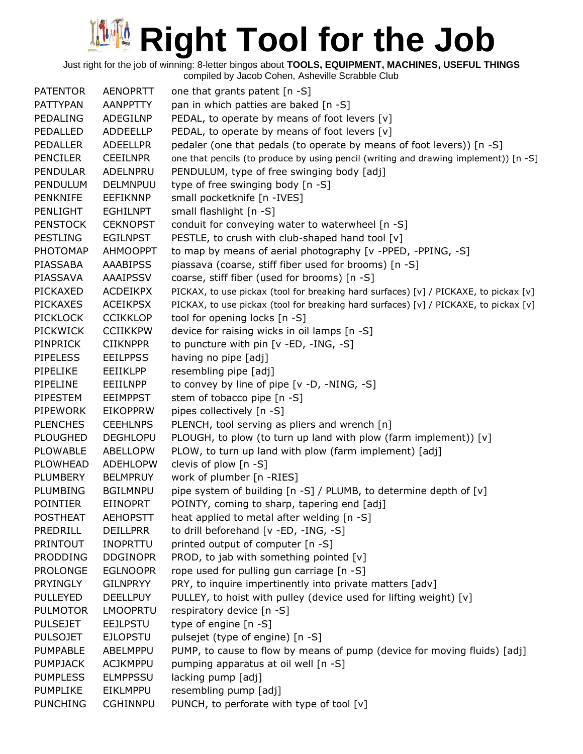Just right for the job of winning: 8-letter bingos about **TOOLS, EQUIPMENT, MACHINES, USEFUL THINGS**

compiled by Jacob Cohen, Asheville Scrabble Club PATENTOR AENOPRTT one that grants patent [n -S] PATTYPAN AANPPTTY pan in which patties are baked [n -S] PEDALING ADEGILNP PEDAL, to operate by means of foot levers [v] PEDALLED ADDEELLP PEDAL, to operate by means of foot levers [v] PEDALLER ADEELLPR pedaler (one that pedals (to operate by means of foot levers)) [n -S] PENCILER CEEILNPR one that pencils (to produce by using pencil (writing and drawing implement)) [n -S] PENDULAR ADELNPRU PENDULUM, type of free swinging body [adj] PENDULUM DELMNPUU type of free swinging body [n -S] PENKNIFE EEFIKNNP small pocketknife [n -IVES] PENLIGHT EGHILNPT small flashlight [n -S] PENSTOCK CEKNOPST conduit for conveying water to waterwheel [n -S] PESTLING EGILNPST PESTLE, to crush with club-shaped hand tool [v] PHOTOMAP AHMOOPPT to map by means of aerial photography [v -PPED, -PPING, -S] PIASSABA AAABIPSS piassava (coarse, stiff fiber used for brooms) [n -S] PIASSAVA AAAIPSSV coarse, stiff fiber (used for brooms) [n -S] PICKAXED ACDEIKPX PICKAX, to use pickax (tool for breaking hard surfaces) [v] / PICKAXE, to pickax [v] PICKAXES ACEIKPSX PICKAX, to use pickax (tool for breaking hard surfaces) [v] / PICKAXE, to pickax [v] PICKLOCK CCIKKLOP tool for opening locks [n -S] PICKWICK CCIIKKPW device for raising wicks in oil lamps [n -S] PINPRICK CIIKNPPR to puncture with pin [v -ED, -ING, -S] PIPELESS EEILPPSS having no pipe [adj] PIPELIKE EEIIKLPP resembling pipe [adj] PIPELINE EEIILNPP to convey by line of pipe [v -D, -NING, -S] PIPESTEM EEIMPPST stem of tobacco pipe [n -S] PIPEWORK EIKOPPRW pipes collectively [n -S] PLENCHES CEEHLNPS PLENCH, tool serving as pliers and wrench [n] PLOUGHED DEGHLOPU PLOUGH, to plow (to turn up land with plow (farm implement)) [v] PLOWABLE ABELLOPW PLOW, to turn up land with plow (farm implement) [adj] PLOWHEAD ADEHLOPW clevis of plow [n -S] PLUMBERY BELMPRUY work of plumber [n -RIES] PLUMBING BGILMNPU pipe system of building [n -S] / PLUMB, to determine depth of [v] POINTIER EIINOPRT POINTY, coming to sharp, tapering end [adj] POSTHEAT AEHOPSTT heat applied to metal after welding [n -S] PREDRILL DEILLPRR to drill beforehand [v -ED, -ING, -S] PRINTOUT INOPRTTU printed output of computer [n -S] **PRODDING** DDGINOPR PROD, to jab with something pointed  $[v]$ PROLONGE EGLNOOPR rope used for pulling gun carriage [n -S] PRYINGLY GILNPRYY PRY, to inquire impertinently into private matters [adv] PULLEYED DEELLPUY PULLEY, to hoist with pulley (device used for lifting weight) [v] PULMOTOR LMOOPRTU respiratory device [n -S] PULSEJET EEJLPSTU type of engine [n -S] PULSOJET EJLOPSTU pulsejet (type of engine) [n -S] PUMPABLE ABELMPPU PUMP, to cause to flow by means of pump (device for moving fluids) [adj] PUMPJACK ACJKMPPU pumping apparatus at oil well [n -S] PUMPLESS ELMPPSSU lacking pump [adj] PUMPLIKE EIKLMPPU resembling pump [adj] PUNCHING CGHINNPU PUNCH, to perforate with type of tool [v]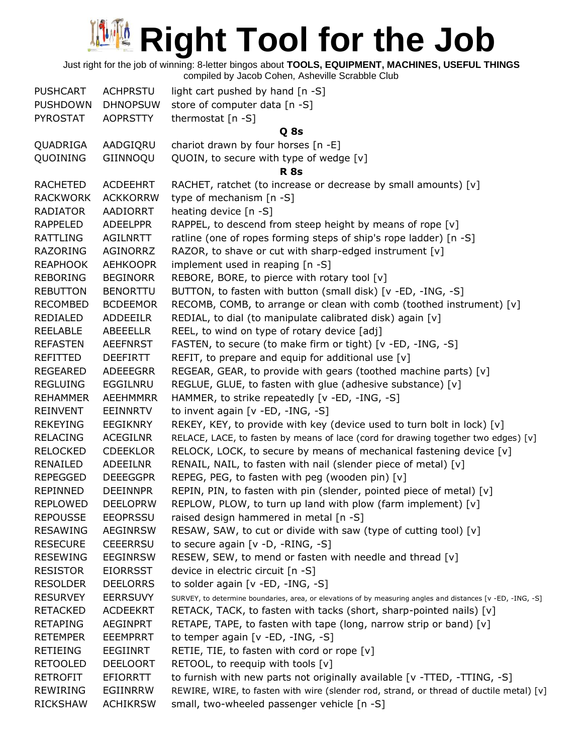Just right for the job of winning: 8-letter bingos about **TOOLS, EQUIPMENT, MACHINES, USEFUL THINGS**

| <b>PUSHCART</b> | <b>ACHPRSTU</b> | light cart pushed by hand [n -S]                                                                            |
|-----------------|-----------------|-------------------------------------------------------------------------------------------------------------|
| <b>PUSHDOWN</b> | <b>DHNOPSUW</b> | store of computer data [n -S]                                                                               |
| PYROSTAT        | <b>AOPRSTTY</b> | thermostat $[n -S]$                                                                                         |
|                 |                 | Q 8s                                                                                                        |
| QUADRIGA        | AADGIQRU        | chariot drawn by four horses [n -E]                                                                         |
| QUOINING        | GIINNOQU        | QUOIN, to secure with type of wedge [v]                                                                     |
|                 |                 | <b>R</b> 8s                                                                                                 |
| <b>RACHETED</b> | <b>ACDEEHRT</b> | RACHET, ratchet (to increase or decrease by small amounts) [v]                                              |
| <b>RACKWORK</b> | <b>ACKKORRW</b> | type of mechanism [n -S]                                                                                    |
| RADIATOR        | AADIORRT        | heating device [n -S]                                                                                       |
| <b>RAPPELED</b> | <b>ADEELPPR</b> | RAPPEL, to descend from steep height by means of rope [v]                                                   |
| RATTLING        | AGILNRTT        | ratline (one of ropes forming steps of ship's rope ladder) [n -S]                                           |
| <b>RAZORING</b> | AGINORRZ        | RAZOR, to shave or cut with sharp-edged instrument [v]                                                      |
| <b>REAPHOOK</b> | <b>AEHKOOPR</b> | implement used in reaping [n -S]                                                                            |
| REBORING        | <b>BEGINORR</b> | REBORE, BORE, to pierce with rotary tool [v]                                                                |
| <b>REBUTTON</b> | <b>BENORTTU</b> | BUTTON, to fasten with button (small disk) [v -ED, -ING, -S]                                                |
| <b>RECOMBED</b> | <b>BCDEEMOR</b> | RECOMB, COMB, to arrange or clean with comb (toothed instrument) [v]                                        |
| REDIALED        | <b>ADDEEILR</b> | REDIAL, to dial (to manipulate calibrated disk) again [v]                                                   |
| REELABLE        | ABEEELLR        | REEL, to wind on type of rotary device [adj]                                                                |
| <b>REFASTEN</b> | <b>AEEFNRST</b> | FASTEN, to secure (to make firm or tight) [v -ED, -ING, -S]                                                 |
| REFITTED        | <b>DEEFIRTT</b> | REFIT, to prepare and equip for additional use $[v]$                                                        |
| <b>REGEARED</b> | ADEEEGRR        | REGEAR, GEAR, to provide with gears (toothed machine parts) [v]                                             |
| <b>REGLUING</b> | EGGILNRU        | REGLUE, GLUE, to fasten with glue (adhesive substance) [v]                                                  |
| <b>REHAMMER</b> | <b>AEEHMMRR</b> | HAMMER, to strike repeatedly [v -ED, -ING, -S]                                                              |
| <b>REINVENT</b> | <b>EEINNRTV</b> | to invent again [v -ED, -ING, -S]                                                                           |
| <b>REKEYING</b> | EEGIKNRY        | REKEY, KEY, to provide with key (device used to turn bolt in lock) [v]                                      |
| <b>RELACING</b> | <b>ACEGILNR</b> | RELACE, LACE, to fasten by means of lace (cord for drawing together two edges) [v]                          |
| <b>RELOCKED</b> | <b>CDEEKLOR</b> | RELOCK, LOCK, to secure by means of mechanical fastening device [v]                                         |
| RENAILED        | <b>ADEEILNR</b> | RENAIL, NAIL, to fasten with nail (slender piece of metal) [v]                                              |
| <b>REPEGGED</b> | <b>DEEEGGPR</b> | REPEG, PEG, to fasten with peg (wooden pin) [v]                                                             |
| REPINNED        | <b>DEEINNPR</b> | REPIN, PIN, to fasten with pin (slender, pointed piece of metal) [v]                                        |
| <b>REPLOWED</b> | <b>DEELOPRW</b> | REPLOW, PLOW, to turn up land with plow (farm implement) [v]                                                |
| <b>REPOUSSE</b> | <b>EEOPRSSU</b> | raised design hammered in metal [n -S]                                                                      |
| <b>RESAWING</b> | <b>AEGINRSW</b> | RESAW, SAW, to cut or divide with saw (type of cutting tool) [v]                                            |
| <b>RESECURE</b> | <b>CEEERRSU</b> | to secure again [v -D, -RING, -S]                                                                           |
| <b>RESEWING</b> | <b>EEGINRSW</b> | RESEW, SEW, to mend or fasten with needle and thread [v]                                                    |
| <b>RESISTOR</b> | <b>EIORRSST</b> | device in electric circuit [n -S]                                                                           |
| <b>RESOLDER</b> | <b>DEELORRS</b> | to solder again [v -ED, -ING, -S]                                                                           |
| <b>RESURVEY</b> | <b>EERRSUVY</b> | SURVEY, to determine boundaries, area, or elevations of by measuring angles and distances [v -ED, -ING, -S] |
| <b>RETACKED</b> | <b>ACDEEKRT</b> | RETACK, TACK, to fasten with tacks (short, sharp-pointed nails) [v]                                         |
| <b>RETAPING</b> | <b>AEGINPRT</b> | RETAPE, TAPE, to fasten with tape (long, narrow strip or band) [v]                                          |
| <b>RETEMPER</b> | <b>EEEMPRRT</b> | to temper again [v -ED, -ING, -S]                                                                           |
| <b>RETIEING</b> | EEGIINRT        | RETIE, TIE, to fasten with cord or rope [v]                                                                 |
| <b>RETOOLED</b> | <b>DEELOORT</b> | RETOOL, to reequip with tools [v]                                                                           |
| <b>RETROFIT</b> | <b>EFIORRTT</b> | to furnish with new parts not originally available [v -TTED, -TTING, -S]                                    |
| <b>REWIRING</b> | EGIINRRW        | REWIRE, WIRE, to fasten with wire (slender rod, strand, or thread of ductile metal) [v]                     |
| <b>RICKSHAW</b> | <b>ACHIKRSW</b> | small, two-wheeled passenger vehicle [n -S]                                                                 |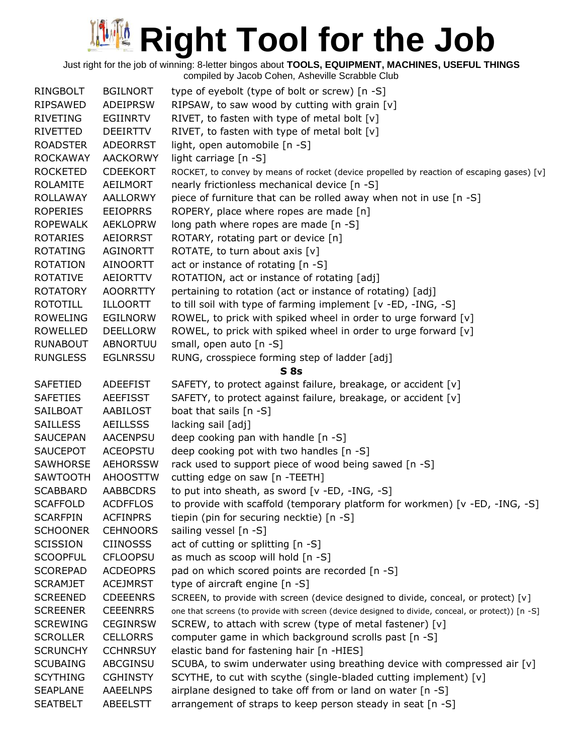Just right for the job of winning: 8-letter bingos about **TOOLS, EQUIPMENT, MACHINES, USEFUL THINGS**

| <b>RINGBOLT</b> | <b>BGILNORT</b> | type of eyebolt (type of bolt or screw) [n -S]                                                    |
|-----------------|-----------------|---------------------------------------------------------------------------------------------------|
| RIPSAWED        | <b>ADEIPRSW</b> | RIPSAW, to saw wood by cutting with grain [v]                                                     |
| <b>RIVETING</b> | <b>EGIINRTV</b> | RIVET, to fasten with type of metal bolt [v]                                                      |
| <b>RIVETTED</b> | <b>DEEIRTTV</b> | RIVET, to fasten with type of metal bolt [v]                                                      |
| <b>ROADSTER</b> | <b>ADEORRST</b> | light, open automobile [n -S]                                                                     |
| <b>ROCKAWAY</b> | <b>AACKORWY</b> | light carriage [n -S]                                                                             |
| <b>ROCKETED</b> | <b>CDEEKORT</b> | ROCKET, to convey by means of rocket (device propelled by reaction of escaping gases) [v]         |
| <b>ROLAMITE</b> | AEILMORT        | nearly frictionless mechanical device [n -S]                                                      |
| ROLLAWAY        | AALLORWY        | piece of furniture that can be rolled away when not in use [n -S]                                 |
| <b>ROPERIES</b> | <b>EEIOPRRS</b> | ROPERY, place where ropes are made [n]                                                            |
| <b>ROPEWALK</b> | <b>AEKLOPRW</b> | long path where ropes are made [n -S]                                                             |
| <b>ROTARIES</b> | <b>AEIORRST</b> | ROTARY, rotating part or device [n]                                                               |
| <b>ROTATING</b> | <b>AGINORTT</b> | ROTATE, to turn about axis [v]                                                                    |
| <b>ROTATION</b> | AINOORTT        | act or instance of rotating [n -S]                                                                |
| <b>ROTATIVE</b> | AEIORTTV        | ROTATION, act or instance of rotating [adj]                                                       |
| <b>ROTATORY</b> | <b>AOORRTTY</b> | pertaining to rotation (act or instance of rotating) [adj]                                        |
| <b>ROTOTILL</b> | ILLOORTT        | to till soil with type of farming implement [v -ED, -ING, -S]                                     |
| <b>ROWELING</b> | <b>EGILNORW</b> | ROWEL, to prick with spiked wheel in order to urge forward [v]                                    |
| <b>ROWELLED</b> | <b>DEELLORW</b> | ROWEL, to prick with spiked wheel in order to urge forward [v]                                    |
| <b>RUNABOUT</b> | ABNORTUU        | small, open auto [n -S]                                                                           |
| <b>RUNGLESS</b> | <b>EGLNRSSU</b> | RUNG, crosspiece forming step of ladder [adj]                                                     |
|                 |                 | <b>S</b> 8s                                                                                       |
| <b>SAFETIED</b> | <b>ADEEFIST</b> | SAFETY, to protect against failure, breakage, or accident [v]                                     |
| <b>SAFETIES</b> | <b>AEEFISST</b> | SAFETY, to protect against failure, breakage, or accident [v]                                     |
| SAILBOAT        | AABILOST        | boat that sails $[n - S]$                                                                         |
| <b>SAILLESS</b> | <b>AEILLSSS</b> | lacking sail [adj]                                                                                |
| <b>SAUCEPAN</b> | <b>AACENPSU</b> | deep cooking pan with handle [n -S]                                                               |
| <b>SAUCEPOT</b> | <b>ACEOPSTU</b> | deep cooking pot with two handles [n -S]                                                          |
| <b>SAWHORSE</b> | <b>AEHORSSW</b> | rack used to support piece of wood being sawed [n -S]                                             |
| <b>SAWTOOTH</b> | <b>AHOOSTTW</b> | cutting edge on saw [n -TEETH]                                                                    |
| <b>SCABBARD</b> | <b>AABBCDRS</b> | to put into sheath, as sword [v -ED, -ING, -S]                                                    |
| <b>SCAFFOLD</b> | <b>ACDFFLOS</b> | to provide with scaffold (temporary platform for workmen) [v -ED, -ING, -S]                       |
| <b>SCARFPIN</b> | <b>ACFINPRS</b> | tiepin (pin for securing necktie) [n -S]                                                          |
| <b>SCHOONER</b> | <b>CEHNOORS</b> | sailing vessel [n -S]                                                                             |
| <b>SCISSION</b> | <b>CIINOSSS</b> | act of cutting or splitting [n -S]                                                                |
| <b>SCOOPFUL</b> | <b>CFLOOPSU</b> | as much as scoop will hold [n -S]                                                                 |
| <b>SCOREPAD</b> | <b>ACDEOPRS</b> | pad on which scored points are recorded [n -S]                                                    |
| <b>SCRAMJET</b> | <b>ACEJMRST</b> | type of aircraft engine [n -S]                                                                    |
| <b>SCREENED</b> | <b>CDEEENRS</b> | SCREEN, to provide with screen (device designed to divide, conceal, or protect) [v]               |
| <b>SCREENER</b> | <b>CEEENRRS</b> | one that screens (to provide with screen (device designed to divide, conceal, or protect)) [n -S] |
| <b>SCREWING</b> | <b>CEGINRSW</b> | SCREW, to attach with screw (type of metal fastener) [v]                                          |
| <b>SCROLLER</b> | <b>CELLORRS</b> | computer game in which background scrolls past [n -S]                                             |
| <b>SCRUNCHY</b> | <b>CCHNRSUY</b> | elastic band for fastening hair [n -HIES]                                                         |
| <b>SCUBAING</b> | ABCGINSU        | SCUBA, to swim underwater using breathing device with compressed air [v]                          |
| <b>SCYTHING</b> | <b>CGHINSTY</b> | SCYTHE, to cut with scythe (single-bladed cutting implement) [v]                                  |
| <b>SEAPLANE</b> | <b>AAEELNPS</b> | airplane designed to take off from or land on water [n -S]                                        |
| <b>SEATBELT</b> | ABEELSTT        | arrangement of straps to keep person steady in seat [n -S]                                        |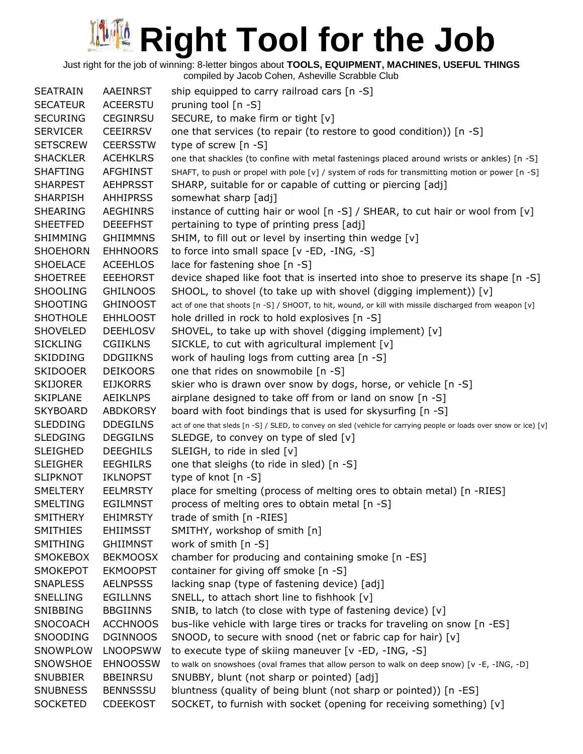Just right for the job of winning: 8-letter bingos about **TOOLS, EQUIPMENT, MACHINES, USEFUL THINGS** compiled by Jacob Cohen, Asheville Scrabble Club

| <b>SEATRAIN</b> | AAEINRST        | ship equipped to carry railroad cars [n -S]                                                                        |
|-----------------|-----------------|--------------------------------------------------------------------------------------------------------------------|
| <b>SECATEUR</b> | <b>ACEERSTU</b> | pruning tool [n -S]                                                                                                |
| <b>SECURING</b> | <b>CEGINRSU</b> | SECURE, to make firm or tight [v]                                                                                  |
| <b>SERVICER</b> | <b>CEEIRRSV</b> | one that services (to repair (to restore to good condition)) [n -S]                                                |
| <b>SETSCREW</b> | <b>CEERSSTW</b> | type of screw [n -S]                                                                                               |
| <b>SHACKLER</b> | <b>ACEHKLRS</b> | one that shackles (to confine with metal fastenings placed around wrists or ankles) [n -S]                         |
| <b>SHAFTING</b> | <b>AFGHINST</b> | SHAFT, to push or propel with pole [v] / system of rods for transmitting motion or power [n -S]                    |
| <b>SHARPEST</b> | <b>AEHPRSST</b> | SHARP, suitable for or capable of cutting or piercing [adj]                                                        |
| <b>SHARPISH</b> | <b>AHHIPRSS</b> | somewhat sharp [adj]                                                                                               |
| <b>SHEARING</b> | <b>AEGHINRS</b> | instance of cutting hair or wool [n -S] / SHEAR, to cut hair or wool from [v]                                      |
| <b>SHEETFED</b> | <b>DEEEFHST</b> | pertaining to type of printing press [adj]                                                                         |
| SHIMMING        | <b>GHIIMMNS</b> | SHIM, to fill out or level by inserting thin wedge [v]                                                             |
| <b>SHOEHORN</b> | <b>EHHNOORS</b> | to force into small space [v -ED, -ING, -S]                                                                        |
| <b>SHOELACE</b> | <b>ACEEHLOS</b> | lace for fastening shoe [n -S]                                                                                     |
| <b>SHOETREE</b> | <b>EEEHORST</b> | device shaped like foot that is inserted into shoe to preserve its shape [n -S]                                    |
| <b>SHOOLING</b> | <b>GHILNOOS</b> | SHOOL, to shovel (to take up with shovel (digging implement)) [v]                                                  |
| <b>SHOOTING</b> | <b>GHINOOST</b> | act of one that shoots [n -S] / SHOOT, to hit, wound, or kill with missile discharged from weapon [v]              |
| <b>SHOTHOLE</b> | <b>EHHLOOST</b> | hole drilled in rock to hold explosives [n -S]                                                                     |
| <b>SHOVELED</b> | <b>DEEHLOSV</b> | SHOVEL, to take up with shovel (digging implement) [v]                                                             |
| <b>SICKLING</b> | <b>CGIIKLNS</b> | SICKLE, to cut with agricultural implement [v]                                                                     |
| <b>SKIDDING</b> | <b>DDGIIKNS</b> | work of hauling logs from cutting area [n -S]                                                                      |
| <b>SKIDOOER</b> | <b>DEIKOORS</b> | one that rides on snowmobile [n -S]                                                                                |
| <b>SKIJORER</b> | <b>EIJKORRS</b> | skier who is drawn over snow by dogs, horse, or vehicle [n -S]                                                     |
| <b>SKIPLANE</b> | <b>AEIKLNPS</b> | airplane designed to take off from or land on snow [n -S]                                                          |
| <b>SKYBOARD</b> | <b>ABDKORSY</b> | board with foot bindings that is used for skysurfing [n -S]                                                        |
| <b>SLEDDING</b> | <b>DDEGILNS</b> | act of one that sleds [n -S] / SLED, to convey on sled (vehicle for carrying people or loads over snow or ice) [v] |
| <b>SLEDGING</b> | <b>DEGGILNS</b> | SLEDGE, to convey on type of sled [v]                                                                              |
| <b>SLEIGHED</b> | <b>DEEGHILS</b> | SLEIGH, to ride in sled [v]                                                                                        |
| <b>SLEIGHER</b> | <b>EEGHILRS</b> | one that sleighs (to ride in sled) [n -S]                                                                          |
| <b>SLIPKNOT</b> | <b>IKLNOPST</b> | type of knot [n -S]                                                                                                |
| <b>SMELTERY</b> | <b>EELMRSTY</b> | place for smelting (process of melting ores to obtain metal) [n -RIES]                                             |
| <b>SMELTING</b> | <b>EGILMNST</b> | process of melting ores to obtain metal [n -S]                                                                     |
| <b>SMITHERY</b> | <b>EHIMRSTY</b> | trade of smith [n -RIES]                                                                                           |
| <b>SMITHIES</b> | <b>EHIIMSST</b> | SMITHY, workshop of smith [n]                                                                                      |
| <b>SMITHING</b> | GHIIMNST        | work of smith $[n -S]$                                                                                             |
| <b>SMOKEBOX</b> | <b>BEKMOOSX</b> | chamber for producing and containing smoke [n -ES]                                                                 |
| <b>SMOKEPOT</b> | <b>EKMOOPST</b> | container for giving off smoke [n -S]                                                                              |
| <b>SNAPLESS</b> | <b>AELNPSSS</b> | lacking snap (type of fastening device) [adj]                                                                      |
| <b>SNELLING</b> | <b>EGILLNNS</b> | SNELL, to attach short line to fishhook [v]                                                                        |
| SNIBBING        | <b>BBGIINNS</b> | SNIB, to latch (to close with type of fastening device) [v]                                                        |
| SNOCOACH        | <b>ACCHNOOS</b> | bus-like vehicle with large tires or tracks for traveling on snow [n -ES]                                          |
| SNOODING        | <b>DGINNOOS</b> | SNOOD, to secure with snood (net or fabric cap for hair) [v]                                                       |
| SNOWPLOW        | <b>LNOOPSWW</b> | to execute type of skiing maneuver [v -ED, -ING, -S]                                                               |
| SNOWSHOE        | <b>EHNOOSSW</b> | to walk on snowshoes (oval frames that allow person to walk on deep snow) [v -E, -ING, -D]                         |
| <b>SNUBBIER</b> | <b>BBEINRSU</b> | SNUBBY, blunt (not sharp or pointed) [adj]                                                                         |
| <b>SNUBNESS</b> | <b>BENNSSSU</b> | bluntness (quality of being blunt (not sharp or pointed)) [n -ES]                                                  |
| <b>SOCKETED</b> | <b>CDEEKOST</b> | SOCKET, to furnish with socket (opening for receiving something) [v]                                               |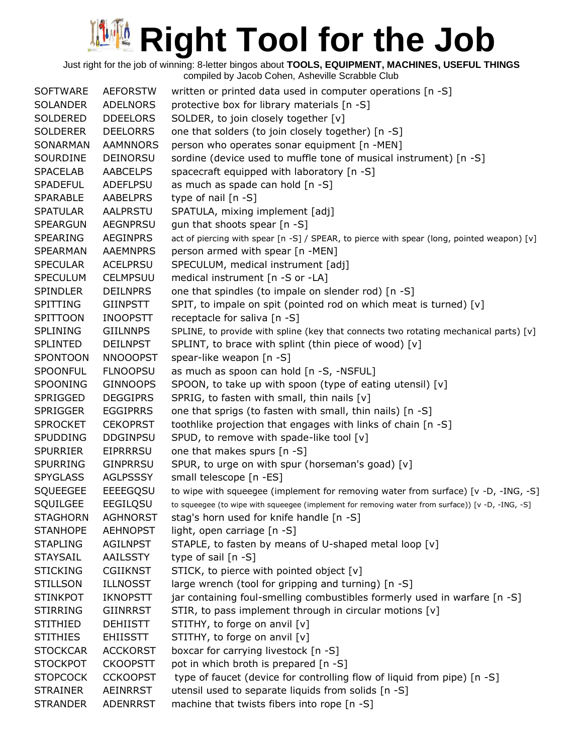Just right for the job of winning: 8-letter bingos about **TOOLS, EQUIPMENT, MACHINES, USEFUL THINGS** compiled by Jacob Cohen, Asheville Scrabble Club

SOFTWARE AEFORSTW written or printed data used in computer operations [n -S] SOLANDER ADELNORS protective box for library materials [n -S] SOLDERED DDEELORS SOLDER, to join closely together [v] SOLDERER DEELORRS one that solders (to join closely together) [n -S] SONARMAN AAMNNORS person who operates sonar equipment [n -MEN] SOURDINE DEINORSU sordine (device used to muffle tone of musical instrument) [n -S] SPACELAB AABCELPS spacecraft equipped with laboratory [n -S] SPADEFUL ADEFLPSU as much as spade can hold [n -S] SPARABLE AABELPRS type of nail [n -S] SPATULAR AALPRSTU SPATULA, mixing implement [adj] SPEARGUN AEGNPRSU gun that shoots spear [n -S] SPEARING AEGINPRS act of piercing with spear [n -S] / SPEAR, to pierce with spear (long, pointed weapon) [v] SPEARMAN AAEMNPRS person armed with spear [n -MEN] SPECULAR ACELPRSU SPECULUM, medical instrument [adj] SPECULUM CELMPSUU medical instrument [n -S or -LA] SPINDLER DEILNPRS one that spindles (to impale on slender rod) [n -S] SPITTING GIINPSTT SPIT, to impale on spit (pointed rod on which meat is turned) [v] SPITTOON INOOPSTT receptacle for saliva [n -S] SPLINING GIILNNPS SPLINE, to provide with spline (key that connects two rotating mechanical parts) [v] SPLINTED DEILNPST SPLINT, to brace with splint (thin piece of wood) [v] SPONTOON NNOOOPST spear-like weapon [n -S] SPOONFUL FLNOOPSU as much as spoon can hold [n -S, -NSFUL] SPOONING GINNOOPS SPOON, to take up with spoon (type of eating utensil) [v] SPRIGGED DEGGIPRS SPRIG, to fasten with small, thin nails [v] SPRIGGER EGGIPRRS one that sprigs (to fasten with small, thin nails) [n -S] SPROCKET CEKOPRST toothlike projection that engages with links of chain [n -S] SPUDDING DDGINPSU SPUD, to remove with spade-like tool [v] SPURRIER EIPRRRSU one that makes spurs [n -S] SPURRING GINPRRSU SPUR, to urge on with spur (horseman's goad) [v] SPYGLASS AGLPSSSY small telescope [n -ES] SQUEEGEE EEEEGQSU to wipe with squeegee (implement for removing water from surface) [v -D, -ING, -S] SQUILGEE EEGILQSU to squeegee (to wipe with squeegee (implement for removing water from surface)) [v -D, -ING, -S] STAGHORN AGHNORST stag's horn used for knife handle [n -S] STANHOPE AEHNOPST light, open carriage [n -S] STAPLING AGILNPST STAPLE, to fasten by means of U-shaped metal loop [v] STAYSAIL AAILSSTY type of sail [n -S] STICKING CGIIKNST STICK, to pierce with pointed object [v] STILLSON ILLNOSST large wrench (tool for gripping and turning) [n -S] STINKPOT IKNOPSTT jar containing foul-smelling combustibles formerly used in warfare [n -S] STIRRING GIINRRST STIR, to pass implement through in circular motions [v] STITHIED DEHIISTT STITHY, to forge on anvil [v] STITHIES EHIISSTT STITHY, to forge on anvil [v] STOCKCAR ACCKORST boxcar for carrying livestock [n -S] STOCKPOT CKOOPSTT pot in which broth is prepared [n -S] STOPCOCK CCKOOPST type of faucet (device for controlling flow of liquid from pipe) [n -S] STRAINER AEINRRST utensil used to separate liquids from solids [n -S] STRANDER ADENRRST machine that twists fibers into rope [n -S]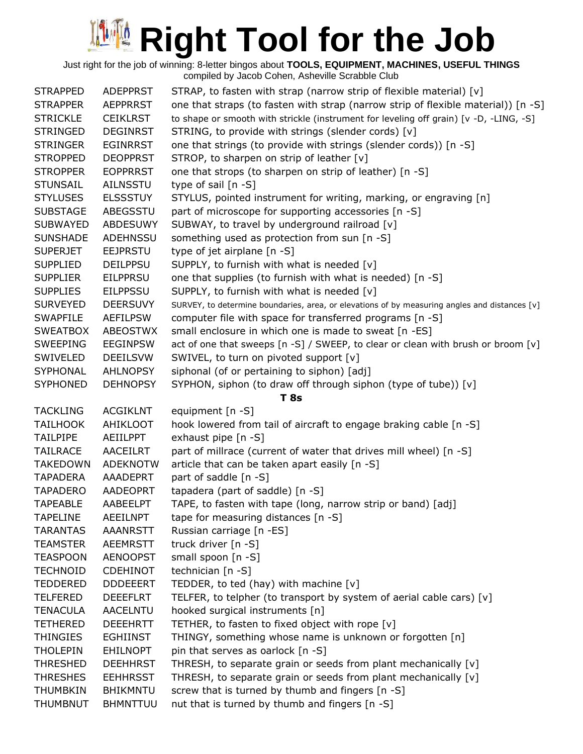Just right for the job of winning: 8-letter bingos about **TOOLS, EQUIPMENT, MACHINES, USEFUL THINGS** compiled by Jacob Cohen, Asheville Scrabble Club

| <b>STRAPPED</b> | <b>ADEPPRST</b> | STRAP, to fasten with strap (narrow strip of flexible material) [v]                           |
|-----------------|-----------------|-----------------------------------------------------------------------------------------------|
| <b>STRAPPER</b> | <b>AEPPRRST</b> | one that straps (to fasten with strap (narrow strip of flexible material)) [n -S]             |
| <b>STRICKLE</b> | <b>CEIKLRST</b> | to shape or smooth with strickle (instrument for leveling off grain) [v -D, -LING, -S]        |
| <b>STRINGED</b> | <b>DEGINRST</b> | STRING, to provide with strings (slender cords) [v]                                           |
| <b>STRINGER</b> | <b>EGINRRST</b> | one that strings (to provide with strings (slender cords)) [n -S]                             |
| <b>STROPPED</b> | <b>DEOPPRST</b> | STROP, to sharpen on strip of leather [v]                                                     |
| <b>STROPPER</b> | <b>EOPPRRST</b> | one that strops (to sharpen on strip of leather) [n -S]                                       |
| <b>STUNSAIL</b> | <b>AILNSSTU</b> | type of sail [n -S]                                                                           |
| <b>STYLUSES</b> | <b>ELSSSTUY</b> | STYLUS, pointed instrument for writing, marking, or engraving [n]                             |
| <b>SUBSTAGE</b> | ABEGSSTU        | part of microscope for supporting accessories [n -S]                                          |
| <b>SUBWAYED</b> | <b>ABDESUWY</b> | SUBWAY, to travel by underground railroad [v]                                                 |
| <b>SUNSHADE</b> | ADEHNSSU        | something used as protection from sun [n -S]                                                  |
| <b>SUPERJET</b> | <b>EEJPRSTU</b> | type of jet airplane [n -S]                                                                   |
| <b>SUPPLIED</b> | <b>DEILPPSU</b> | SUPPLY, to furnish with what is needed [v]                                                    |
| <b>SUPPLIER</b> | <b>EILPPRSU</b> | one that supplies (to furnish with what is needed) [n -S]                                     |
| <b>SUPPLIES</b> | <b>EILPPSSU</b> | SUPPLY, to furnish with what is needed [v]                                                    |
| <b>SURVEYED</b> | <b>DEERSUVY</b> | SURVEY, to determine boundaries, area, or elevations of by measuring angles and distances [v] |
| <b>SWAPFILE</b> | <b>AEFILPSW</b> | computer file with space for transferred programs [n -S]                                      |
| <b>SWEATBOX</b> | ABEOSTWX        | small enclosure in which one is made to sweat [n -ES]                                         |
| <b>SWEEPING</b> | <b>EEGINPSW</b> | act of one that sweeps [n -S] / SWEEP, to clear or clean with brush or broom [v]              |
| SWIVELED        | <b>DEEILSVW</b> | SWIVEL, to turn on pivoted support [v]                                                        |
| SYPHONAL        | <b>AHLNOPSY</b> | siphonal (of or pertaining to siphon) [adj]                                                   |
| <b>SYPHONED</b> | <b>DEHNOPSY</b> | SYPHON, siphon (to draw off through siphon (type of tube)) [v]                                |
|                 |                 | T 8s                                                                                          |
| <b>TACKLING</b> | <b>ACGIKLNT</b> | equipment [n -S]                                                                              |
| <b>TAILHOOK</b> | AHIKLOOT        | hook lowered from tail of aircraft to engage braking cable [n -S]                             |
| <b>TAILPIPE</b> | AEIILPPT        | exhaust pipe [n -S]                                                                           |
| <b>TAILRACE</b> | <b>AACEILRT</b> | part of millrace (current of water that drives mill wheel) [n -S]                             |
| <b>TAKEDOWN</b> | <b>ADEKNOTW</b> | article that can be taken apart easily [n -S]                                                 |
| <b>TAPADERA</b> | AAADEPRT        | part of saddle [n -S]                                                                         |
| <b>TAPADERO</b> | AADEOPRT        | tapadera (part of saddle) [n -S]                                                              |
| <b>TAPEABLE</b> | AABEELPT        | TAPE, to fasten with tape (long, narrow strip or band) [adj]                                  |
| <b>TAPELINE</b> | <b>AEEILNPT</b> | tape for measuring distances $[n - S]$                                                        |
| <b>TARANTAS</b> | <b>AAANRSTT</b> | Russian carriage [n -ES]                                                                      |
| <b>TEAMSTER</b> | <b>AEEMRSTT</b> | truck driver [n -S]                                                                           |
| <b>TEASPOON</b> | <b>AENOOPST</b> | small spoon [n -S]                                                                            |
| <b>TECHNOID</b> | <b>CDEHINOT</b> | technician [n -S]                                                                             |
| <b>TEDDERED</b> | <b>DDDEEERT</b> | TEDDER, to ted (hay) with machine [v]                                                         |
| <b>TELFERED</b> | <b>DEEEFLRT</b> | TELFER, to telpher (to transport by system of aerial cable cars) [v]                          |
| <b>TENACULA</b> | AACELNTU        | hooked surgical instruments [n]                                                               |
| <b>TETHERED</b> | <b>DEEEHRTT</b> | TETHER, to fasten to fixed object with rope [v]                                               |
| <b>THINGIES</b> | <b>EGHIINST</b> | THINGY, something whose name is unknown or forgotten [n]                                      |
| <b>THOLEPIN</b> | <b>EHILNOPT</b> | pin that serves as oarlock [n -S]                                                             |
| <b>THRESHED</b> | <b>DEEHHRST</b> | THRESH, to separate grain or seeds from plant mechanically [v]                                |
| <b>THRESHES</b> | <b>EEHHRSST</b> | THRESH, to separate grain or seeds from plant mechanically [v]                                |
| <b>THUMBKIN</b> | <b>BHIKMNTU</b> | screw that is turned by thumb and fingers [n -S]                                              |
| <b>THUMBNUT</b> | <b>BHMNTTUU</b> | nut that is turned by thumb and fingers [n -S]                                                |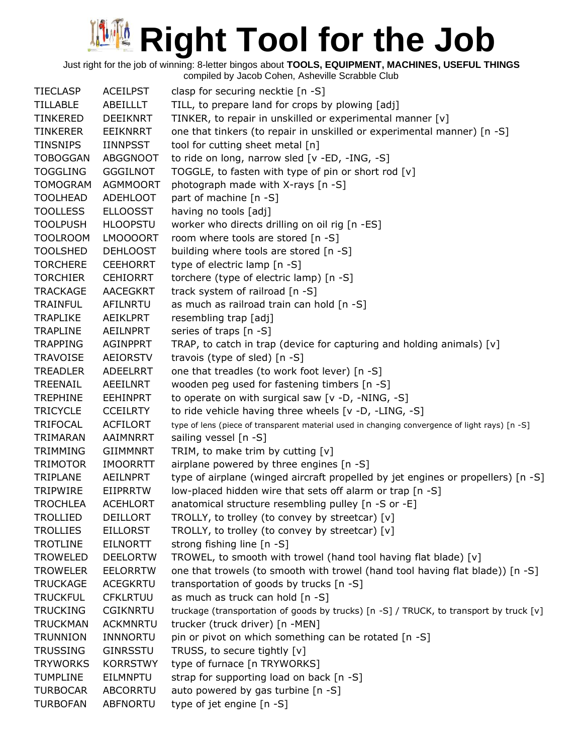Just right for the job of winning: 8-letter bingos about **TOOLS, EQUIPMENT, MACHINES, USEFUL THINGS**

compiled by Jacob Cohen, Asheville Scrabble Club

TIECLASP ACEILPST clasp for securing necktie [n -S] TILLABLE ABEILLLT TILL, to prepare land for crops by plowing [adj] TINKERED DEEIKNRT TINKER, to repair in unskilled or experimental manner [v] TINKERER EEIKNRRT one that tinkers (to repair in unskilled or experimental manner) [n -S] TINSNIPS IINNPSST tool for cutting sheet metal [n] TOBOGGAN ABGGNOOT to ride on long, narrow sled [v -ED, -ING, -S] TOGGLING GGGILNOT TOGGLE, to fasten with type of pin or short rod  $[v]$ TOMOGRAM AGMMOORT photograph made with X-rays [n -S] TOOLHEAD ADEHLOOT part of machine [n -S] TOOLLESS ELLOOSST having no tools [adj] TOOLPUSH HLOOPSTU worker who directs drilling on oil rig [n -ES] TOOLROOM LMOOOORT room where tools are stored [n -S] TOOLSHED DEHLOOST building where tools are stored [n -S] TORCHERE CEEHORRT type of electric lamp [n -S] TORCHIER CEHIORRT torchere (type of electric lamp) [n -S] TRACKAGE AACEGKRT track system of railroad [n -S] TRAINFUL AFILNRTU as much as railroad train can hold [n -S] TRAPLIKE AEIKLPRT resembling trap [adj] TRAPLINE AEILNPRT series of traps [n -S] TRAPPING AGINPPRT TRAP, to catch in trap (device for capturing and holding animals)  $[v]$ TRAVOISE AEIORSTV travois (type of sled) [n -S] TREADLER ADEELRRT one that treadles (to work foot lever) [n -S] TREENAIL AEEILNRT wooden peg used for fastening timbers [n -S] TREPHINE EEHINPRT to operate on with surgical saw [v -D, -NING, -S] TRICYCLE CCEILRTY to ride vehicle having three wheels [v -D, -LING, -S] TRIFOCAL ACFILORT type of lens (piece of transparent material used in changing convergence of light rays) [n -S] TRIMARAN AAIMNRRT sailing vessel [n -S] TRIMMING GIIMMNRT TRIM, to make trim by cutting [v] TRIMOTOR IMOORRTT airplane powered by three engines [n -S] TRIPLANE AEILNPRT type of airplane (winged aircraft propelled by jet engines or propellers) [n -S] TRIPWIRE EIIPRRTW low-placed hidden wire that sets off alarm or trap [n -S] TROCHLEA ACEHLORT anatomical structure resembling pulley [n -S or -E] TROLLIED DEILLORT TROLLY, to trolley (to convey by streetcar) [v] TROLLIES EILLORST TROLLY, to trolley (to convey by streetcar) [v] TROTLINE EILNORTT strong fishing line [n -S] TROWELED DEELORTW TROWEL, to smooth with trowel (hand tool having flat blade) [v] TROWELER EELORRTW one that trowels (to smooth with trowel (hand tool having flat blade)) [n -S] TRUCKAGE ACEGKRTU transportation of goods by trucks [n -S] TRUCKFUL CFKLRTUU as much as truck can hold [n -S] TRUCKING CGIKNRTU truckage (transportation of goods by trucks) [n -S] / TRUCK, to transport by truck [v] TRUCKMAN ACKMNRTU trucker (truck driver) [n -MEN] TRUNNION INNNORTU pin or pivot on which something can be rotated [n -S] TRUSSING GINRSSTU TRUSS, to secure tightly [v] TRYWORKS KORRSTWY type of furnace [n TRYWORKS] TUMPLINE EILMNPTU strap for supporting load on back [n -S] TURBOCAR ABCORRTU auto powered by gas turbine [n -S] TURBOFAN ABFNORTU type of jet engine [n -S]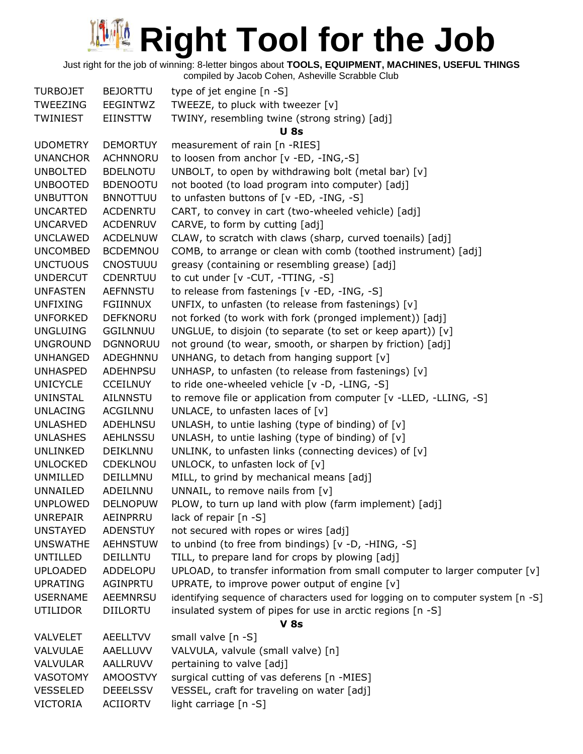Just right for the job of winning: 8-letter bingos about **TOOLS, EQUIPMENT, MACHINES, USEFUL THINGS**

| <b>TURBOJET</b> | <b>BEJORTTU</b> | type of jet engine [n -S]                                                        |
|-----------------|-----------------|----------------------------------------------------------------------------------|
| TWEEZING        | EEGINTWZ        | TWEEZE, to pluck with tweezer [v]                                                |
| <b>TWINIEST</b> | <b>EIINSTTW</b> | TWINY, resembling twine (strong string) [adj]                                    |
|                 |                 | <b>U</b> 8s                                                                      |
| <b>UDOMETRY</b> | <b>DEMORTUY</b> | measurement of rain [n -RIES]                                                    |
| <b>UNANCHOR</b> | <b>ACHNNORU</b> | to loosen from anchor [v -ED, -ING,-S]                                           |
| <b>UNBOLTED</b> | <b>BDELNOTU</b> | UNBOLT, to open by withdrawing bolt (metal bar) [v]                              |
| <b>UNBOOTED</b> | <b>BDENOOTU</b> | not booted (to load program into computer) [adj]                                 |
| <b>UNBUTTON</b> | <b>BNNOTTUU</b> | to unfasten buttons of [v -ED, -ING, -S]                                         |
| <b>UNCARTED</b> | <b>ACDENRTU</b> | CART, to convey in cart (two-wheeled vehicle) [adj]                              |
| <b>UNCARVED</b> | <b>ACDENRUV</b> | CARVE, to form by cutting [adj]                                                  |
| <b>UNCLAWED</b> | <b>ACDELNUW</b> | CLAW, to scratch with claws (sharp, curved toenails) [adj]                       |
| <b>UNCOMBED</b> | <b>BCDEMNOU</b> | COMB, to arrange or clean with comb (toothed instrument) [adj]                   |
| <b>UNCTUOUS</b> | CNOSTUUU        | greasy (containing or resembling grease) [adj]                                   |
| <b>UNDERCUT</b> | <b>CDENRTUU</b> | to cut under [v - CUT, - TTING, -S]                                              |
| <b>UNFASTEN</b> | <b>AEFNNSTU</b> | to release from fastenings [v -ED, -ING, -S]                                     |
| <b>UNFIXING</b> | FGIINNUX        | UNFIX, to unfasten (to release from fastenings) [v]                              |
| <b>UNFORKED</b> | <b>DEFKNORU</b> | not forked (to work with fork (pronged implement)) [adj]                         |
| <b>UNGLUING</b> | <b>GGILNNUU</b> | UNGLUE, to disjoin (to separate (to set or keep apart)) [v]                      |
| <b>UNGROUND</b> | <b>DGNNORUU</b> | not ground (to wear, smooth, or sharpen by friction) [adj]                       |
| <b>UNHANGED</b> | ADEGHNNU        | UNHANG, to detach from hanging support [v]                                       |
| <b>UNHASPED</b> | <b>ADEHNPSU</b> | UNHASP, to unfasten (to release from fastenings) [v]                             |
| <b>UNICYCLE</b> | <b>CCEILNUY</b> | to ride one-wheeled vehicle [v -D, -LING, -S]                                    |
| <b>UNINSTAL</b> | <b>AILNNSTU</b> | to remove file or application from computer [v -LLED, -LLING, -S]                |
| <b>UNLACING</b> | ACGILNNU        | UNLACE, to unfasten laces of $[v]$                                               |
| <b>UNLASHED</b> | ADEHLNSU        | UNLASH, to untie lashing (type of binding) of $[v]$                              |
| <b>UNLASHES</b> | <b>AEHLNSSU</b> | UNLASH, to untie lashing (type of binding) of $[v]$                              |
| UNLINKED        | DEIKLNNU        | UNLINK, to unfasten links (connecting devices) of [v]                            |
| <b>UNLOCKED</b> | <b>CDEKLNOU</b> | UNLOCK, to unfasten lock of [v]                                                  |
| UNMILLED        | DEILLMNU        | MILL, to grind by mechanical means [adj]                                         |
| UNNAILED        | ADEILNNU        | UNNAIL, to remove nails from [v]                                                 |
| <b>UNPLOWED</b> | <b>DELNOPUW</b> | PLOW, to turn up land with plow (farm implement) [adj]                           |
| <b>UNREPAIR</b> | AEINPRRU        | lack of repair [n -S]                                                            |
| <b>UNSTAYED</b> | <b>ADENSTUY</b> | not secured with ropes or wires [adj]                                            |
| <b>UNSWATHE</b> | <b>AEHNSTUW</b> | to unbind (to free from bindings) [v -D, -HING, -S]                              |
| <b>UNTILLED</b> | <b>DEILLNTU</b> | TILL, to prepare land for crops by plowing [adj]                                 |
| <b>UPLOADED</b> | ADDELOPU        | UPLOAD, to transfer information from small computer to larger computer $[v]$     |
| <b>UPRATING</b> | <b>AGINPRTU</b> | UPRATE, to improve power output of engine [v]                                    |
| <b>USERNAME</b> | AEEMNRSU        | identifying sequence of characters used for logging on to computer system [n -S] |
| <b>UTILIDOR</b> | <b>DIILORTU</b> | insulated system of pipes for use in arctic regions [n -S]                       |
|                 |                 | <b>V 8s</b>                                                                      |
| <b>VALVELET</b> | <b>AEELLTVV</b> | small valve [n -S]                                                               |
| VALVULAE        | AAELLUVV        | VALVULA, valvule (small valve) [n]                                               |
| <b>VALVULAR</b> | AALLRUVV        | pertaining to valve [adj]                                                        |
| VASOTOMY        | <b>AMOOSTVY</b> | surgical cutting of vas deferens [n -MIES]                                       |
| <b>VESSELED</b> | <b>DEEELSSV</b> | VESSEL, craft for traveling on water [adj]                                       |
| <b>VICTORIA</b> | <b>ACIIORTV</b> | light carriage [n -S]                                                            |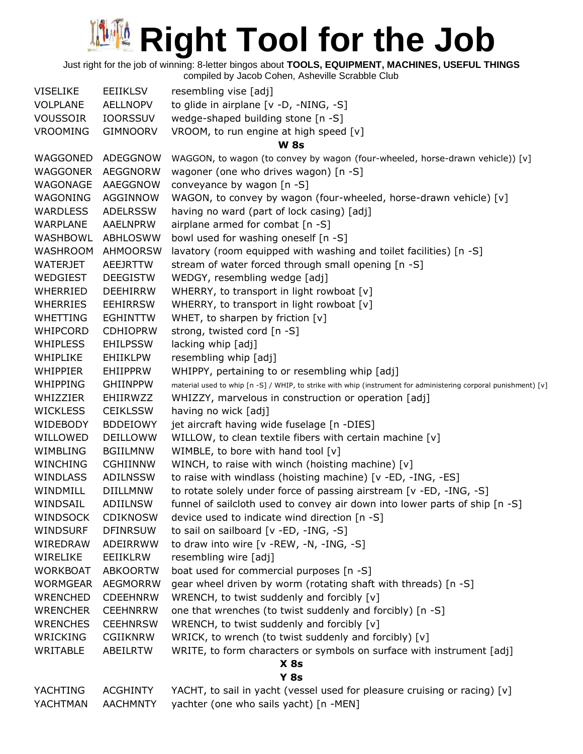Just right for the job of winning: 8-letter bingos about **TOOLS, EQUIPMENT, MACHINES, USEFUL THINGS**

| <b>VISELIKE</b> | EEIIKLSV        | resembling vise [adj]                                                                                           |
|-----------------|-----------------|-----------------------------------------------------------------------------------------------------------------|
| <b>VOLPLANE</b> | AELLNOPV        | to glide in airplane [v -D, -NING, -S]                                                                          |
| <b>VOUSSOIR</b> | <b>IOORSSUV</b> | wedge-shaped building stone [n -S]                                                                              |
| <b>VROOMING</b> | <b>GIMNOORV</b> | VROOM, to run engine at high speed [v]                                                                          |
|                 |                 | <b>W</b> 8s                                                                                                     |
| WAGGONED        | ADEGGNOW        | WAGGON, to wagon (to convey by wagon (four-wheeled, horse-drawn vehicle)) [v]                                   |
| WAGGONER        | AEGGNORW        | wagoner (one who drives wagon) [n -S]                                                                           |
| WAGONAGE        | AAEGGNOW        | conveyance by wagon [n -S]                                                                                      |
| WAGONING        | AGGINNOW        | WAGON, to convey by wagon (four-wheeled, horse-drawn vehicle) [v]                                               |
| <b>WARDLESS</b> | <b>ADELRSSW</b> | having no ward (part of lock casing) [adj]                                                                      |
| WARPLANE        | AAELNPRW        | airplane armed for combat [n -S]                                                                                |
| WASHBOWL        | ABHLOSWW        | bowl used for washing oneself [n -S]                                                                            |
| <b>WASHROOM</b> | <b>AHMOORSW</b> | lavatory (room equipped with washing and toilet facilities) [n -S]                                              |
| WATERJET        | AEEJRTTW        | stream of water forced through small opening [n -S]                                                             |
| WEDGIEST        | <b>DEEGISTW</b> | WEDGY, resembling wedge [adj]                                                                                   |
| WHERRIED        | <b>DEEHIRRW</b> | WHERRY, to transport in light rowboat [v]                                                                       |
| <b>WHERRIES</b> | <b>EEHIRRSW</b> | WHERRY, to transport in light rowboat [v]                                                                       |
| <b>WHETTING</b> | <b>EGHINTTW</b> | WHET, to sharpen by friction [v]                                                                                |
| <b>WHIPCORD</b> | <b>CDHIOPRW</b> | strong, twisted cord [n -S]                                                                                     |
| <b>WHIPLESS</b> | <b>EHILPSSW</b> | lacking whip [adj]                                                                                              |
| WHIPLIKE        | <b>EHIIKLPW</b> | resembling whip [adj]                                                                                           |
| <b>WHIPPIER</b> | <b>EHIIPPRW</b> | WHIPPY, pertaining to or resembling whip [adj]                                                                  |
| <b>WHIPPING</b> | <b>GHIINPPW</b> | material used to whip [n -S] / WHIP, to strike with whip (instrument for administering corporal punishment) [v] |
| WHIZZIER        | EHIIRWZZ        | WHIZZY, marvelous in construction or operation [adj]                                                            |
| <b>WICKLESS</b> | <b>CEIKLSSW</b> | having no wick [adj]                                                                                            |
| WIDEBODY        | <b>BDDEIOWY</b> | jet aircraft having wide fuselage [n -DIES]                                                                     |
| WILLOWED        | <b>DEILLOWW</b> | WILLOW, to clean textile fibers with certain machine [v]                                                        |
| WIMBLING        | <b>BGIILMNW</b> | WIMBLE, to bore with hand tool [v]                                                                              |
| <b>WINCHING</b> | <b>CGHIINNW</b> | WINCH, to raise with winch (hoisting machine) [v]                                                               |
| <b>WINDLASS</b> | <b>ADILNSSW</b> | to raise with windlass (hoisting machine) [v -ED, -ING, -ES]                                                    |
| WINDMILL        | <b>DIILLMNW</b> | to rotate solely under force of passing airstream [v -ED, -ING, -S]                                             |
| WINDSAIL        | <b>ADIILNSW</b> | funnel of sailcloth used to convey air down into lower parts of ship [n -S]                                     |
| <b>WINDSOCK</b> | <b>CDIKNOSW</b> | device used to indicate wind direction [n -S]                                                                   |
| <b>WINDSURF</b> | <b>DFINRSUW</b> | to sail on sailboard [v -ED, -ING, -S]                                                                          |
| WIREDRAW        | ADEIRRWW        | to draw into wire [v -REW, -N, -ING, -S]                                                                        |
| WIRELIKE        | EEIIKLRW        | resembling wire [adj]                                                                                           |
| <b>WORKBOAT</b> | <b>ABKOORTW</b> | boat used for commercial purposes [n -S]                                                                        |
| <b>WORMGEAR</b> | <b>AEGMORRW</b> | gear wheel driven by worm (rotating shaft with threads) [n -S]                                                  |
| <b>WRENCHED</b> | <b>CDEEHNRW</b> | WRENCH, to twist suddenly and forcibly [v]                                                                      |
| <b>WRENCHER</b> | <b>CEEHNRRW</b> | one that wrenches (to twist suddenly and forcibly) [n -S]                                                       |
| <b>WRENCHES</b> | <b>CEEHNRSW</b> | WRENCH, to twist suddenly and forcibly [v]                                                                      |
| WRICKING        | <b>CGIIKNRW</b> | WRICK, to wrench (to twist suddenly and forcibly) [v]                                                           |
| WRITABLE        | ABEILRTW        | WRITE, to form characters or symbols on surface with instrument [adj]                                           |
|                 |                 | $X$ 8s                                                                                                          |
|                 |                 | <b>Y 8s</b>                                                                                                     |
| YACHTING        | <b>ACGHINTY</b> | YACHT, to sail in yacht (vessel used for pleasure cruising or racing) [v]                                       |
| YACHTMAN        | <b>AACHMNTY</b> | yachter (one who sails yacht) [n -MEN]                                                                          |